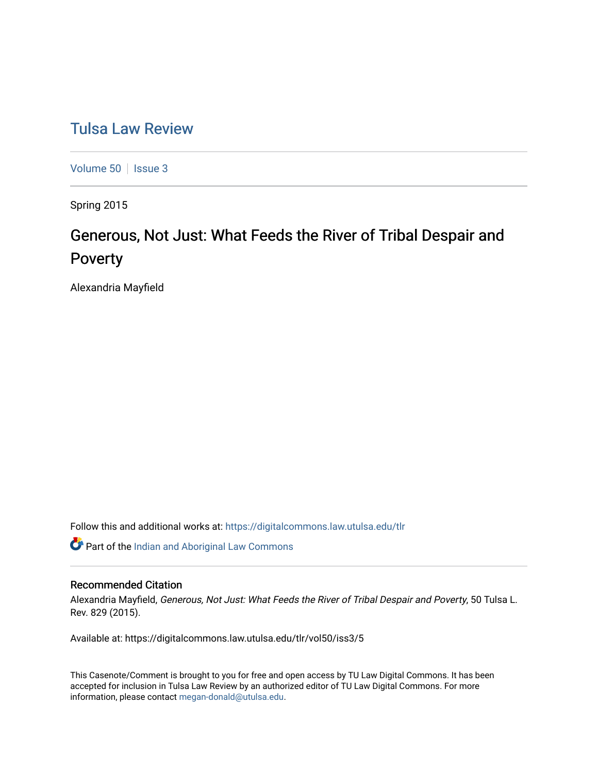# [Tulsa Law Review](https://digitalcommons.law.utulsa.edu/tlr)

[Volume 50](https://digitalcommons.law.utulsa.edu/tlr/vol50) | [Issue 3](https://digitalcommons.law.utulsa.edu/tlr/vol50/iss3)

Spring 2015

# Generous, Not Just: What Feeds the River of Tribal Despair and Poverty

Alexandria Mayfield

Follow this and additional works at: [https://digitalcommons.law.utulsa.edu/tlr](https://digitalcommons.law.utulsa.edu/tlr?utm_source=digitalcommons.law.utulsa.edu%2Ftlr%2Fvol50%2Fiss3%2F5&utm_medium=PDF&utm_campaign=PDFCoverPages) 

Part of the [Indian and Aboriginal Law Commons](http://network.bepress.com/hgg/discipline/894?utm_source=digitalcommons.law.utulsa.edu%2Ftlr%2Fvol50%2Fiss3%2F5&utm_medium=PDF&utm_campaign=PDFCoverPages) 

# Recommended Citation

Alexandria Mayfield, Generous, Not Just: What Feeds the River of Tribal Despair and Poverty, 50 Tulsa L. Rev. 829 (2015).

Available at: https://digitalcommons.law.utulsa.edu/tlr/vol50/iss3/5

This Casenote/Comment is brought to you for free and open access by TU Law Digital Commons. It has been accepted for inclusion in Tulsa Law Review by an authorized editor of TU Law Digital Commons. For more information, please contact [megan-donald@utulsa.edu.](mailto:megan-donald@utulsa.edu)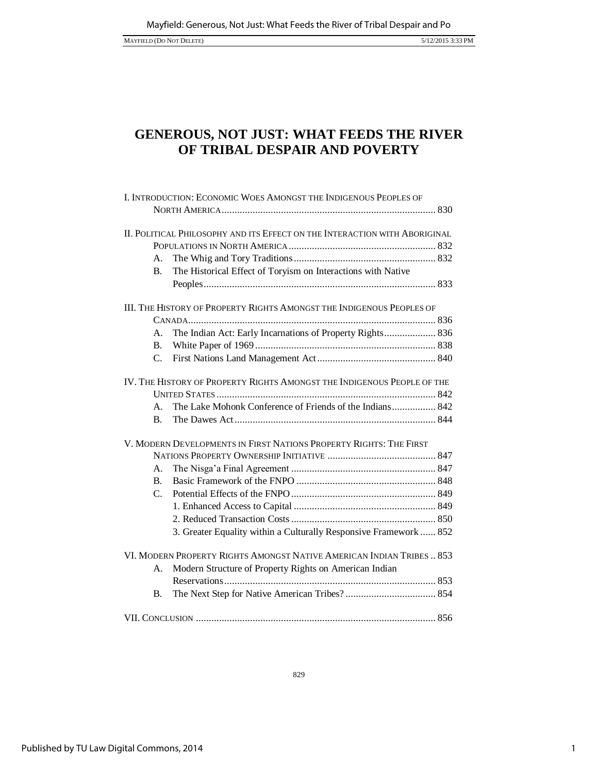MAYFIELD (DO NOT DELETE) 5/12/2015 3:33 PM

# **GENEROUS, NOT JUST: WHAT FEEDS THE RIVER OF TRIBAL DESPAIR AND POVERTY**

| I. INTRODUCTION: ECONOMIC WOES AMONGST THE INDIGENOUS PEOPLES OF           |                                                                   |
|----------------------------------------------------------------------------|-------------------------------------------------------------------|
| II. POLITICAL PHILOSOPHY AND ITS EFFECT ON THE INTERACTION WITH ABORIGINAL |                                                                   |
|                                                                            |                                                                   |
| А.                                                                         |                                                                   |
| <b>B.</b>                                                                  | The Historical Effect of Toryism on Interactions with Native      |
|                                                                            |                                                                   |
| III. THE HISTORY OF PROPERTY RIGHTS AMONGST THE INDIGENOUS PEOPLES OF      |                                                                   |
|                                                                            |                                                                   |
| А.                                                                         | The Indian Act: Early Incarnations of Property Rights 836         |
| <b>B.</b>                                                                  |                                                                   |
| $\mathbf{C}$ .                                                             |                                                                   |
| IV. THE HISTORY OF PROPERTY RIGHTS AMONGST THE INDIGENOUS PEOPLE OF THE    |                                                                   |
|                                                                            |                                                                   |
| $\mathsf{A}$ .                                                             | The Lake Mohonk Conference of Friends of the Indians 842          |
| $\mathbf{B}$ .                                                             |                                                                   |
| V. MODERN DEVELOPMENTS IN FIRST NATIONS PROPERTY RIGHTS: THE FIRST         |                                                                   |
|                                                                            |                                                                   |
| А.                                                                         |                                                                   |
| $\mathbf{B}$ .                                                             |                                                                   |
| $C_{\cdot}$                                                                |                                                                   |
|                                                                            |                                                                   |
|                                                                            |                                                                   |
|                                                                            | 3. Greater Equality within a Culturally Responsive Framework  852 |
| VI. MODERN PROPERTY RIGHTS AMONGST NATIVE AMERICAN INDIAN TRIBES  853      |                                                                   |
| А.                                                                         | Modern Structure of Property Rights on American Indian            |
|                                                                            |                                                                   |
| <b>B.</b>                                                                  |                                                                   |
|                                                                            |                                                                   |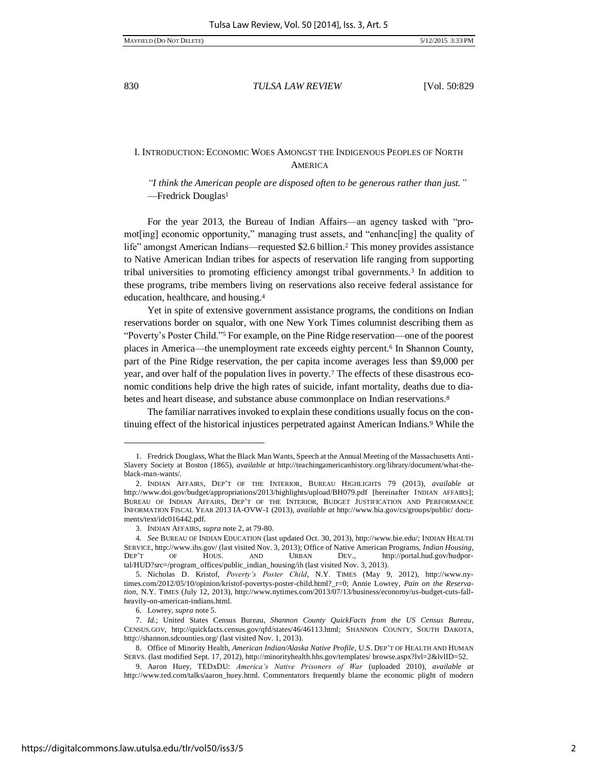# I. INTRODUCTION: ECONOMIC WOES AMONGST THE INDIGENOUS PEOPLES OF NORTH **AMERICA**

*"I think the American people are disposed often to be generous rather than just."* —Fredrick Douglas<sup>1</sup>

For the year 2013, the Bureau of Indian Affairs—an agency tasked with "promot[ing] economic opportunity," managing trust assets, and "enhanc[ing] the quality of life" amongst American Indians—requested \$2.6 billion.<sup>2</sup> This money provides assistance to Native American Indian tribes for aspects of reservation life ranging from supporting tribal universities to promoting efficiency amongst tribal governments.<sup>3</sup> In addition to these programs, tribe members living on reservations also receive federal assistance for education, healthcare, and housing.<sup>4</sup>

Yet in spite of extensive government assistance programs, the conditions on Indian reservations border on squalor, with one New York Times columnist describing them as "Poverty's Poster Child."5 For example, on the Pine Ridge reservation—one of the poorest places in America—the unemployment rate exceeds eighty percent.6 In Shannon County, part of the Pine Ridge reservation, the per capita income averages less than \$9,000 per year, and over half of the population lives in poverty.7 The effects of these disastrous economic conditions help drive the high rates of suicide, infant mortality, deaths due to diabetes and heart disease, and substance abuse commonplace on Indian reservations.<sup>8</sup>

The familiar narratives invoked to explain these conditions usually focus on the continuing effect of the historical injustices perpetrated against American Indians.9 While the

l

<sup>1.</sup> Fredrick Douglass, What the Black Man Wants, Speech at the Annual Meeting of the Massachusetts Anti-Slavery Society at Boston (1865), *available at* http://teachingamericanhistory.org/library/document/what-theblack-man-wants/.

<sup>2.</sup> INDIAN AFFAIRS, DEP'T OF THE INTERIOR, BUREAU HIGHLIGHTS 79 (2013), *available at* http://www.doi.gov/budget/appropriations/2013/highlights/upload/BH079.pdf [hereinafter INDIAN AFFAIRS]; BUREAU OF INDIAN AFFAIRS, DEP'T OF THE INTERIOR, BUDGET JUSTIFICATION AND PERFORMANCE INFORMATION FISCAL YEAR 2013 IA-OVW-1 (2013), *available at* http://www.bia.gov/cs/groups/public/ documents/text/idc016442.pdf.

<sup>3.</sup> INDIAN AFFAIRS, *supra* note 2, at 79-80.

<sup>4</sup>*. See* BUREAU OF INDIAN EDUCATION (last updated Oct. 30, 2013), http://www.bie.edu/; INDIAN HEALTH SERVICE, http://www.ihs.gov/ (last visited Nov. 3, 2013); Office of Native American Programs, *Indian Housing*, DEP'T OF HOUS. AND URBAN DEV., http://portal.hud.gov/hudportal/HUD?src=/program\_offices/public\_indian\_housing/ih (last visited Nov. 3, 2013).

<sup>5.</sup> Nicholas D. Kristof, *Poverty's Poster Child*, N.Y. TIMES (May 9, 2012), http://www.nytimes.com/2012/05/10/opinion/kristof-povertys-poster-child.html?\_r=0; Annie Lowrey, *Pain on the Reservation*, N.Y. TIMES (July 12, 2013), http://www.nytimes.com/2013/07/13/business/economy/us-budget-cuts-fallheavily-on-american-indians.html.

<sup>6.</sup> Lowrey, *supra* note 5.

<sup>7.</sup> *Id.*; United States Census Bureau, *Shannon County QuickFacts from the US Census Bureau*, CENSUS.GOV, http://quickfacts.census.gov/qfd/states/46/46113.html; SHANNON COUNTY, SOUTH DAKOTA, http://shannon.sdcounties.org/ (last visited Nov. 1, 2013).

<sup>8.</sup> Office of Minority Health, *American Indian/Alaska Native Profile*, U.S. DEP'T OF HEALTH AND HUMAN SERVS. (last modified Sept. 17, 2012), http://minorityhealth.hhs.gov/templates/ browse.aspx?lvl=2&lvlID=52.

<sup>9.</sup> Aaron Huey, TEDxDU: *America's Native Prisoners of War* (uploaded 2010), *available at* http://www.ted.com/talks/aaron\_huey.html. Commentators frequently blame the economic plight of modern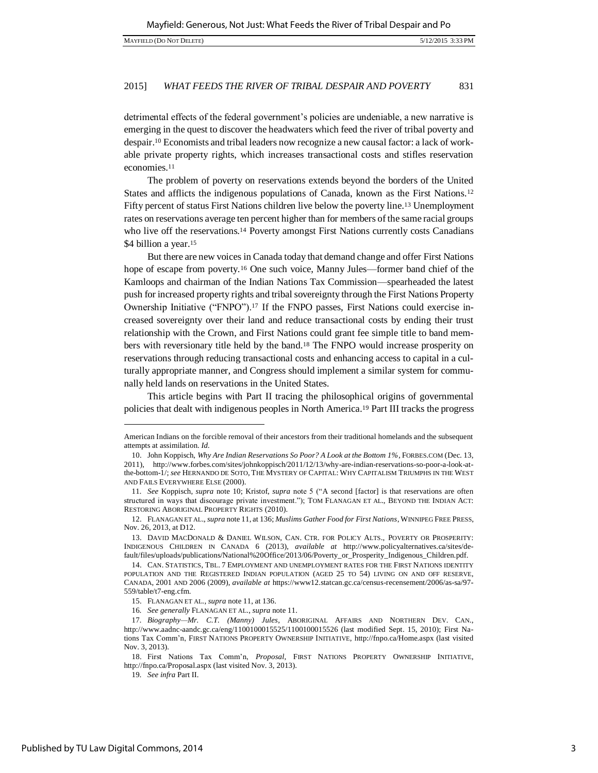detrimental effects of the federal government's policies are undeniable, a new narrative is emerging in the quest to discover the headwaters which feed the river of tribal poverty and despair.10 Economists and tribal leaders now recognize a new causal factor: a lack of workable private property rights, which increases transactional costs and stifles reservation economies.<sup>11</sup>

The problem of poverty on reservations extends beyond the borders of the United States and afflicts the indigenous populations of Canada, known as the First Nations.<sup>12</sup> Fifty percent of status First Nations children live below the poverty line.13 Unemployment rates on reservations average ten percent higher than for members of the same racial groups who live off the reservations.<sup>14</sup> Poverty amongst First Nations currently costs Canadians \$4 billion a year.<sup>15</sup>

But there are new voices in Canada today that demand change and offer First Nations hope of escape from poverty.<sup>16</sup> One such voice, Manny Jules—former band chief of the Kamloops and chairman of the Indian Nations Tax Commission—spearheaded the latest push for increased property rights and tribal sovereignty through the First Nations Property Ownership Initiative ("FNPO").17 If the FNPO passes, First Nations could exercise increased sovereignty over their land and reduce transactional costs by ending their trust relationship with the Crown, and First Nations could grant fee simple title to band members with reversionary title held by the band.18 The FNPO would increase prosperity on reservations through reducing transactional costs and enhancing access to capital in a culturally appropriate manner, and Congress should implement a similar system for communally held lands on reservations in the United States.

This article begins with Part II tracing the philosophical origins of governmental policies that dealt with indigenous peoples in North America.19 Part III tracks the progress

American Indians on the forcible removal of their ancestors from their traditional homelands and the subsequent attempts at assimilation. *Id.*

<sup>10.</sup> John Koppisch, *Why Are Indian Reservations So Poor? A Look at the Bottom 1%*, FORBES.COM (Dec. 13, 2011), http://www.forbes.com/sites/johnkoppisch/2011/12/13/why-are-indian-reservations-so-poor-a-look-atthe-bottom-1/; *see* HERNANDO DE SOTO, THE MYSTERY OF CAPITAL: WHY CAPITALISM TRIUMPHS IN THE WEST AND FAILS EVERYWHERE ELSE (2000).

<sup>11</sup>*. See* Koppisch, *supra* note 10; Kristof, *supra* note 5 ("A second [factor] is that reservations are often structured in ways that discourage private investment."); TOM FLANAGAN ET AL., BEYOND THE INDIAN ACT: RESTORING ABORIGINAL PROPERTY RIGHTS (2010).

<sup>12.</sup> FLANAGAN ET AL., *supra* note 11, at 136; *Muslims Gather Food for First Nations*, WINNIPEG FREE PRESS, Nov. 26, 2013, at D12.

<sup>13.</sup> DAVID MACDONALD & DANIEL WILSON, CAN. CTR. FOR POLICY ALTS., POVERTY OR PROSPERITY: INDIGENOUS CHILDREN IN CANADA 6 (2013), *available at* http://www.policyalternatives.ca/sites/default/files/uploads/publications/National%20Office/2013/06/Poverty\_or\_Prosperity\_Indigenous\_Children.pdf.

<sup>14.</sup> CAN. STATISTICS, TBL. 7 EMPLOYMENT AND UNEMPLOYMENT RATES FOR THE FIRST NATIONS IDENTITY POPULATION AND THE REGISTERED INDIAN POPULATION (AGED 25 TO 54) LIVING ON AND OFF RESERVE, CANADA, 2001 AND 2006 (2009), *available at* https://www12.statcan.gc.ca/census-recensement/2006/as-sa/97- 559/table/t7-eng.cfm.

<sup>15.</sup> FLANAGAN ET AL., *supra* note 11, at 136.

<sup>16</sup>*. See generally* FLANAGAN ET AL., *supra* note 11.

<sup>17</sup>*. Biography—Mr. C.T. (Manny) Jules*, ABORIGINAL AFFAIRS AND NORTHERN DEV. CAN., http://www.aadnc-aandc.gc.ca/eng/1100100015525/1100100015526 (last modified Sept. 15, 2010); First Nations Tax Comm'n, FIRST NATIONS PROPERTY OWNERSHIP INITIATIVE, http://fnpo.ca/Home.aspx (last visited Nov. 3, 2013).

<sup>18.</sup> First Nations Tax Comm'n, *Proposal*, FIRST NATIONS PROPERTY OWNERSHIP INITIATIVE, http://fnpo.ca/Proposal.aspx (last visited Nov. 3, 2013).

<sup>19</sup>*. See infra* Part II.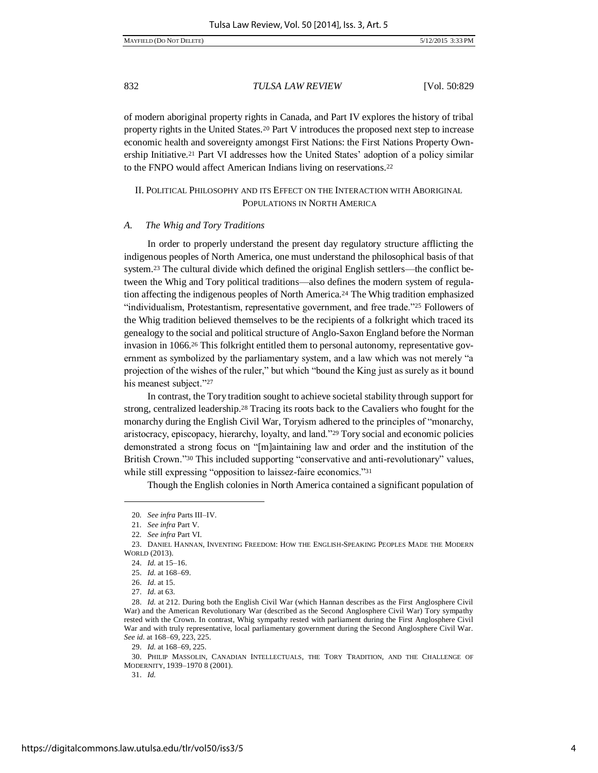of modern aboriginal property rights in Canada, and Part IV explores the history of tribal property rights in the United States.20 Part V introduces the proposed next step to increase economic health and sovereignty amongst First Nations: the First Nations Property Ownership Initiative.<sup>21</sup> Part VI addresses how the United States' adoption of a policy similar to the FNPO would affect American Indians living on reservations.<sup>22</sup>

# II. POLITICAL PHILOSOPHY AND ITS EFFECT ON THE INTERACTION WITH ABORIGINAL POPULATIONS IN NORTH AMERICA

#### *A. The Whig and Tory Traditions*

In order to properly understand the present day regulatory structure afflicting the indigenous peoples of North America, one must understand the philosophical basis of that system.23 The cultural divide which defined the original English settlers—the conflict between the Whig and Tory political traditions—also defines the modern system of regulation affecting the indigenous peoples of North America.24 The Whig tradition emphasized "individualism, Protestantism, representative government, and free trade."25 Followers of the Whig tradition believed themselves to be the recipients of a folkright which traced its genealogy to the social and political structure of Anglo-Saxon England before the Norman invasion in 1066.26 This folkright entitled them to personal autonomy, representative government as symbolized by the parliamentary system, and a law which was not merely "a projection of the wishes of the ruler," but which "bound the King just as surely as it bound his meanest subject."27

In contrast, the Tory tradition sought to achieve societal stability through support for strong, centralized leadership.28 Tracing its roots back to the Cavaliers who fought for the monarchy during the English Civil War, Toryism adhered to the principles of "monarchy, aristocracy, episcopacy, hierarchy, loyalty, and land."29 Tory social and economic policies demonstrated a strong focus on "[m]aintaining law and order and the institution of the British Crown."30 This included supporting "conservative and anti-revolutionary" values, while still expressing "opposition to laissez-faire economics."<sup>31</sup>

Though the English colonies in North America contained a significant population of

l

30. PHILIP MASSOLIN, CANADIAN INTELLECTUALS, THE TORY TRADITION, AND THE CHALLENGE OF MODERNITY, 1939–1970 8 (2001).

31. *Id.*

<sup>20</sup>*. See infra* Parts III–IV.

<sup>21</sup>*. See infra* Part V.

<sup>22</sup>*. See infra* Part VI.

<sup>23.</sup> DANIEL HANNAN, INVENTING FREEDOM: HOW THE ENGLISH-SPEAKING PEOPLES MADE THE MODERN WORLD (2013).

<sup>24.</sup> *Id.* at 15–16.

<sup>25.</sup> *Id.* at 168–69.

<sup>26.</sup> *Id.* at 15.

<sup>27.</sup> *Id.* at 63.

<sup>28.</sup> *Id.* at 212. During both the English Civil War (which Hannan describes as the First Anglosphere Civil War) and the American Revolutionary War (described as the Second Anglosphere Civil War) Tory sympathy rested with the Crown. In contrast, Whig sympathy rested with parliament during the First Anglosphere Civil War and with truly representative, local parliamentary government during the Second Anglosphere Civil War. *See id.* at 168–69, 223, 225.

<sup>29.</sup> *Id.* at 168–69, 225.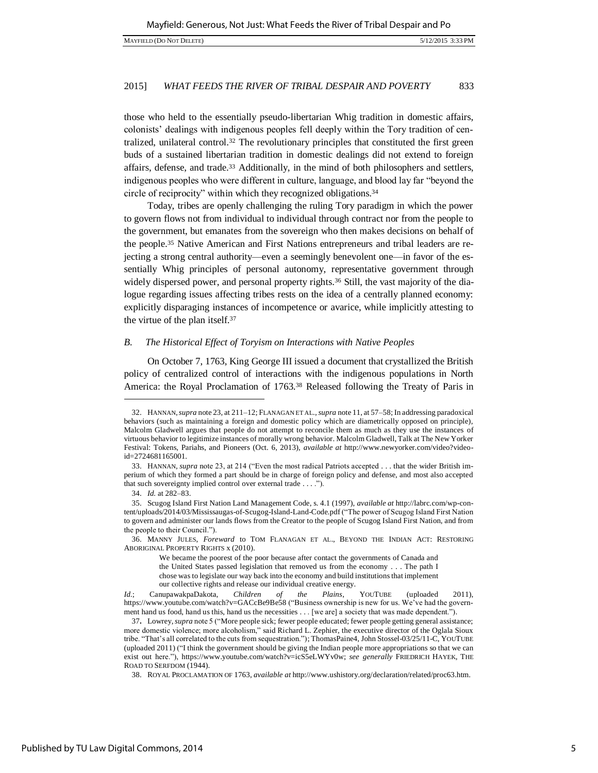those who held to the essentially pseudo-libertarian Whig tradition in domestic affairs, colonists' dealings with indigenous peoples fell deeply within the Tory tradition of centralized, unilateral control.32 The revolutionary principles that constituted the first green buds of a sustained libertarian tradition in domestic dealings did not extend to foreign affairs, defense, and trade.33 Additionally, in the mind of both philosophers and settlers, indigenous peoples who were different in culture, language, and blood lay far "beyond the circle of reciprocity" within which they recognized obligations.<sup>34</sup>

Today, tribes are openly challenging the ruling Tory paradigm in which the power to govern flows not from individual to individual through contract nor from the people to the government, but emanates from the sovereign who then makes decisions on behalf of the people.35 Native American and First Nations entrepreneurs and tribal leaders are rejecting a strong central authority—even a seemingly benevolent one—in favor of the essentially Whig principles of personal autonomy, representative government through widely dispersed power, and personal property rights.<sup>36</sup> Still, the vast majority of the dialogue regarding issues affecting tribes rests on the idea of a centrally planned economy: explicitly disparaging instances of incompetence or avarice, while implicitly attesting to the virtue of the plan itself.<sup>37</sup>

#### *B. The Historical Effect of Toryism on Interactions with Native Peoples*

On October 7, 1763, King George III issued a document that crystallized the British policy of centralized control of interactions with the indigenous populations in North America: the Royal Proclamation of 1763.38 Released following the Treaty of Paris in

<sup>32.</sup> HANNAN,*supra* note 23, at 211–12; FLANAGAN ET AL., *supra* note 11, at 57–58; In addressing paradoxical behaviors (such as maintaining a foreign and domestic policy which are diametrically opposed on principle), Malcolm Gladwell argues that people do not attempt to reconcile them as much as they use the instances of virtuous behavior to legitimize instances of morally wrong behavior. Malcolm Gladwell, Talk at The New Yorker Festival: Tokens, Pariahs, and Pioneers (Oct. 6, 2013), *available at* http://www.newyorker.com/video?videoid=2724681165001.

<sup>33.</sup> HANNAN, *supra* note 23, at 214 ("Even the most radical Patriots accepted . . . that the wider British imperium of which they formed a part should be in charge of foreign policy and defense, and most also accepted that such sovereignty implied control over external trade . . . .").

<sup>34.</sup> *Id.* at 282–83.

<sup>35.</sup> Scugog Island First Nation Land Management Code, s. 4.1 (1997), *available at* http://labrc.com/wp-content/uploads/2014/03/Mississaugas-of-Scugog-Island-Land-Code.pdf ("The power of Scugog Island First Nation to govern and administer our lands flows from the Creator to the people of Scugog Island First Nation, and from the people to their Council.").

<sup>36.</sup> MANNY JULES, *Foreward* to TOM FLANAGAN ET AL., BEYOND THE INDIAN ACT: RESTORING ABORIGINAL PROPERTY RIGHTS x (2010).

We became the poorest of the poor because after contact the governments of Canada and the United States passed legislation that removed us from the economy . . . The path I chose was to legislate our way back into the economy and build institutions that implement our collective rights and release our individual creative energy.

*Id.*; CanupawakpaDakota, *Children of the Plains*, YOUTUBE (uploaded 2011), https://www.youtube.com/watch?v=GACcBe9Be58 ("Business ownership is new for us. We've had the government hand us food, hand us this, hand us the necessities . . . [we are] a society that was made dependent.").

<sup>37</sup>**.** Lowrey, *supra* note 5 ("More people sick; fewer people educated; fewer people getting general assistance; more domestic violence; more alcoholism," said Richard L. Zephier, the executive director of the Oglala Sioux tribe. "That's all correlated to the cuts from sequestration."); ThomasPaine4, John Stossel-03/25/11-C, YOUTUBE (uploaded 2011) ("I think the government should be giving the Indian people more appropriations so that we can exist out here."), https://www.youtube.com/watch?v=icS5eLWYv0w; *see generally* FRIEDRICH HAYEK, THE ROAD TO SERFDOM (1944).

<sup>38.</sup> ROYAL PROCLAMATION OF 1763, *available at* http://www.ushistory.org/declaration/related/proc63.htm.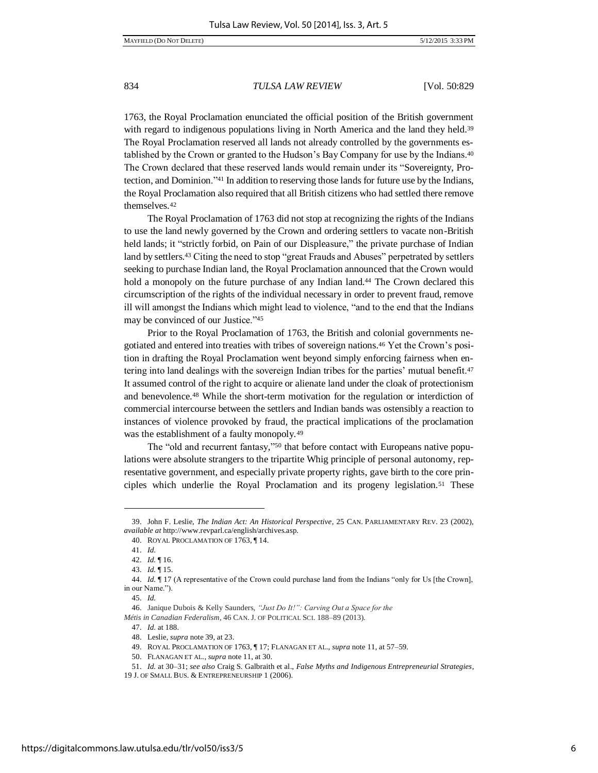1763, the Royal Proclamation enunciated the official position of the British government with regard to indigenous populations living in North America and the land they held.<sup>39</sup> The Royal Proclamation reserved all lands not already controlled by the governments established by the Crown or granted to the Hudson's Bay Company for use by the Indians.<sup>40</sup> The Crown declared that these reserved lands would remain under its "Sovereignty, Protection, and Dominion."41 In addition to reserving those lands for future use by the Indians, the Royal Proclamation also required that all British citizens who had settled there remove themselves.<sup>42</sup>

The Royal Proclamation of 1763 did not stop at recognizing the rights of the Indians to use the land newly governed by the Crown and ordering settlers to vacate non-British held lands; it "strictly forbid, on Pain of our Displeasure," the private purchase of Indian land by settlers.<sup>43</sup> Citing the need to stop "great Frauds and Abuses" perpetrated by settlers seeking to purchase Indian land, the Royal Proclamation announced that the Crown would hold a monopoly on the future purchase of any Indian land.<sup>44</sup> The Crown declared this circumscription of the rights of the individual necessary in order to prevent fraud, remove ill will amongst the Indians which might lead to violence, "and to the end that the Indians may be convinced of our Justice."<sup>45</sup>

Prior to the Royal Proclamation of 1763, the British and colonial governments negotiated and entered into treaties with tribes of sovereign nations.<sup>46</sup> Yet the Crown's position in drafting the Royal Proclamation went beyond simply enforcing fairness when entering into land dealings with the sovereign Indian tribes for the parties' mutual benefit.<sup>47</sup> It assumed control of the right to acquire or alienate land under the cloak of protectionism and benevolence.48 While the short-term motivation for the regulation or interdiction of commercial intercourse between the settlers and Indian bands was ostensibly a reaction to instances of violence provoked by fraud, the practical implications of the proclamation was the establishment of a faulty monopoly.<sup>49</sup>

The "old and recurrent fantasy," 50 that before contact with Europeans native populations were absolute strangers to the tripartite Whig principle of personal autonomy, representative government, and especially private property rights, gave birth to the core principles which underlie the Royal Proclamation and its progeny legislation.51 These

 $\overline{a}$ 

47. *Id.* at 188.

<sup>39.</sup> John F. Leslie, *The Indian Act: An Historical Perspective*, 25 CAN. PARLIAMENTARY REV. 23 (2002), *available at* http://www.revparl.ca/english/archives.asp.

<sup>40.</sup> ROYAL PROCLAMATION OF 1763, ¶ 14.

<sup>41.</sup> *Id.*

<sup>42.</sup> *Id.* ¶ 16.

<sup>43.</sup> *Id.* ¶ 15.

<sup>44.</sup> *Id.* ¶ 17 (A representative of the Crown could purchase land from the Indians "only for Us [the Crown], in our Name.").

<sup>45.</sup> *Id.*

<sup>46.</sup> Janique Dubois & Kelly Saunders, *"Just Do It!": Carving Out a Space for the Métis in Canadian Federalism*, 46 CAN. J. OF POLITICAL SCI. 188–89 (2013).

<sup>48.</sup> Leslie, *supra* note 39, at 23.

<sup>49.</sup> ROYAL PROCLAMATION OF 1763, ¶ 17; FLANAGAN ET AL., *supra* note 11, at 57–59.

<sup>50.</sup> FLANAGAN ET AL., *supra* note 11, at 30.

<sup>51.</sup> *Id.* at 30–31; *see also* Craig S. Galbraith et al., *False Myths and Indigenous Entrepreneurial Strategies*,

<sup>19</sup> J. OF SMALL BUS. & ENTREPRENEURSHIP 1 (2006).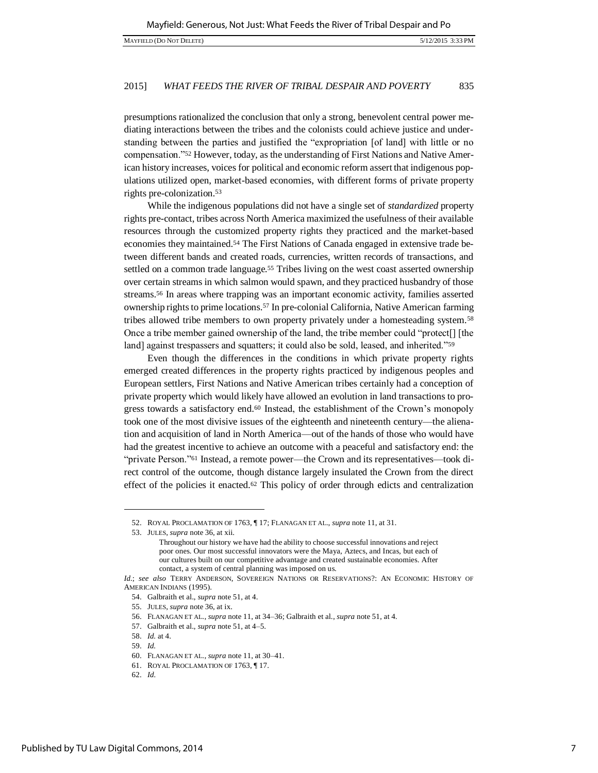presumptions rationalized the conclusion that only a strong, benevolent central power mediating interactions between the tribes and the colonists could achieve justice and understanding between the parties and justified the "expropriation [of land] with little or no compensation."52 However, today, as the understanding of First Nations and Native American history increases, voices for political and economic reform assert that indigenous populations utilized open, market-based economies, with different forms of private property rights pre-colonization.<sup>53</sup>

While the indigenous populations did not have a single set of *standardized* property rights pre-contact, tribes across North America maximized the usefulness of their available resources through the customized property rights they practiced and the market-based economies they maintained.54 The First Nations of Canada engaged in extensive trade between different bands and created roads, currencies, written records of transactions, and settled on a common trade language.<sup>55</sup> Tribes living on the west coast asserted ownership over certain streams in which salmon would spawn, and they practiced husbandry of those streams.56 In areas where trapping was an important economic activity, families asserted ownership rights to prime locations.57 In pre-colonial California, Native American farming tribes allowed tribe members to own property privately under a homesteading system.<sup>58</sup> Once a tribe member gained ownership of the land, the tribe member could "protect[] [the land] against trespassers and squatters; it could also be sold, leased, and inherited."<sup>59</sup>

Even though the differences in the conditions in which private property rights emerged created differences in the property rights practiced by indigenous peoples and European settlers, First Nations and Native American tribes certainly had a conception of private property which would likely have allowed an evolution in land transactions to progress towards a satisfactory end.<sup>60</sup> Instead, the establishment of the Crown's monopoly took one of the most divisive issues of the eighteenth and nineteenth century—the alienation and acquisition of land in North America—out of the hands of those who would have had the greatest incentive to achieve an outcome with a peaceful and satisfactory end: the "private Person."61 Instead, a remote power—the Crown and its representatives—took direct control of the outcome, though distance largely insulated the Crown from the direct effect of the policies it enacted. $62$  This policy of order through edicts and centralization

j

<sup>52.</sup> ROYAL PROCLAMATION OF 1763, ¶ 17; FLANAGAN ET AL., *supra* note 11, at 31.

<sup>53.</sup> JULES, *supra* note 36, at xii.

Throughout our history we have had the ability to choose successful innovations and reject poor ones. Our most successful innovators were the Maya, Aztecs, and Incas, but each of our cultures built on our competitive advantage and created sustainable economies. After contact, a system of central planning was imposed on us.

*Id.*; *see also* TERRY ANDERSON, SOVEREIGN NATIONS OR RESERVATIONS?: AN ECONOMIC HISTORY OF AMERICAN INDIANS (1995).

<sup>54.</sup> Galbraith et al., *supra* note 51, at 4.

<sup>55.</sup> JULES, *supra* note 36, at ix.

<sup>56.</sup> FLANAGAN ET AL., *supra* note 11, at 34–36; Galbraith et al., *supra* note 51, at 4.

<sup>57.</sup> Galbraith et al., *supra* note 51, at 4–5.

<sup>58.</sup> *Id.* at 4.

<sup>59.</sup> *Id.*

<sup>60.</sup> FLANAGAN ET AL., *supra* note 11, at 30–41.

<sup>61.</sup> ROYAL PROCLAMATION OF 1763, ¶ 17.

<sup>62.</sup> *Id.*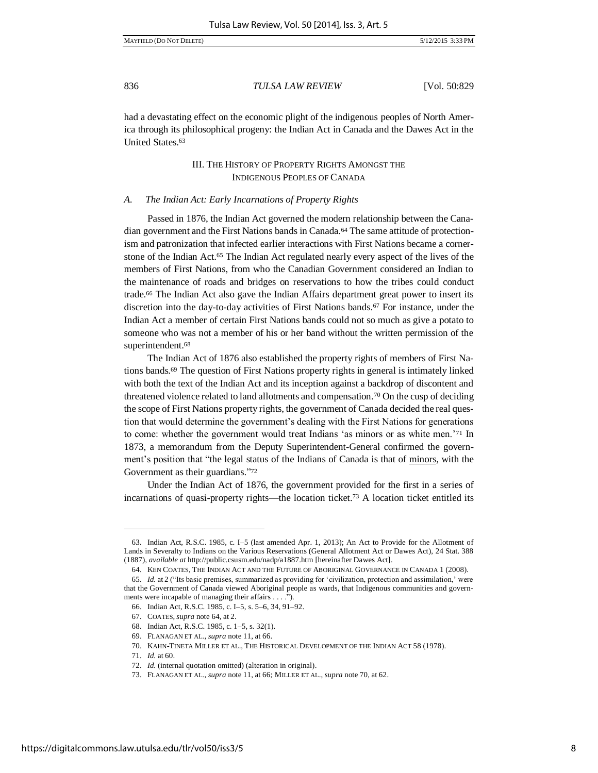MAYFIELD (DO NOT DELETE) 5/12/2015 3:33 PM

836 *TULSA LAW REVIEW* [Vol. 50:829

had a devastating effect on the economic plight of the indigenous peoples of North America through its philosophical progeny: the Indian Act in Canada and the Dawes Act in the United States.<sup>63</sup>

# III. THE HISTORY OF PROPERTY RIGHTS AMONGST THE INDIGENOUS PEOPLES OF CANADA

#### *A. The Indian Act: Early Incarnations of Property Rights*

Passed in 1876, the Indian Act governed the modern relationship between the Canadian government and the First Nations bands in Canada.64 The same attitude of protectionism and patronization that infected earlier interactions with First Nations became a cornerstone of the Indian Act.65 The Indian Act regulated nearly every aspect of the lives of the members of First Nations, from who the Canadian Government considered an Indian to the maintenance of roads and bridges on reservations to how the tribes could conduct trade.66 The Indian Act also gave the Indian Affairs department great power to insert its discretion into the day-to-day activities of First Nations bands.67 For instance, under the Indian Act a member of certain First Nations bands could not so much as give a potato to someone who was not a member of his or her band without the written permission of the superintendent.<sup>68</sup>

The Indian Act of 1876 also established the property rights of members of First Nations bands.<sup>69</sup> The question of First Nations property rights in general is intimately linked with both the text of the Indian Act and its inception against a backdrop of discontent and threatened violence related to land allotments and compensation.70 On the cusp of deciding the scope of First Nations property rights, the government of Canada decided the real question that would determine the government's dealing with the First Nations for generations to come: whether the government would treat Indians 'as minors or as white men.'71 In 1873, a memorandum from the Deputy Superintendent-General confirmed the government's position that "the legal status of the Indians of Canada is that of minors, with the Government as their guardians."72

Under the Indian Act of 1876, the government provided for the first in a series of incarnations of quasi-property rights—the location ticket.73 A location ticket entitled its

l

<sup>63.</sup> Indian Act, R.S.C. 1985, c. I–5 (last amended Apr. 1, 2013); An Act to Provide for the Allotment of Lands in Severalty to Indians on the Various Reservations (General Allotment Act or Dawes Act), 24 Stat. 388 (1887), *available at* http://public.csusm.edu/nadp/a1887.htm [hereinafter Dawes Act].

<sup>64.</sup> KEN COATES, THE INDIAN ACT AND THE FUTURE OF ABORIGINAL GOVERNANCE IN CANADA 1 (2008).

<sup>65.</sup> *Id.* at 2 ("Its basic premises, summarized as providing for 'civilization, protection and assimilation,' were that the Government of Canada viewed Aboriginal people as wards, that Indigenous communities and governments were incapable of managing their affairs . . . .").

<sup>66.</sup> Indian Act, R.S.C. 1985, c. I–5, s. 5–6, 34, 91–92.

<sup>67.</sup> COATES, *supra* note 64, at 2.

<sup>68.</sup> Indian Act, R.S.C. 1985, c. 1–5, s. 32(1).

<sup>69.</sup> FLANAGAN ET AL., *supra* note 11, at 66.

<sup>70.</sup> KAHN-TINETA MILLER ET AL., THE HISTORICAL DEVELOPMENT OF THE INDIAN ACT 58 (1978).

<sup>71.</sup> *Id.* at 60.

<sup>72.</sup> *Id.* (internal quotation omitted) (alteration in original).

<sup>73.</sup> FLANAGAN ET AL., *supra* note 11, at 66; MILLER ET AL., *supra* note 70, at 62.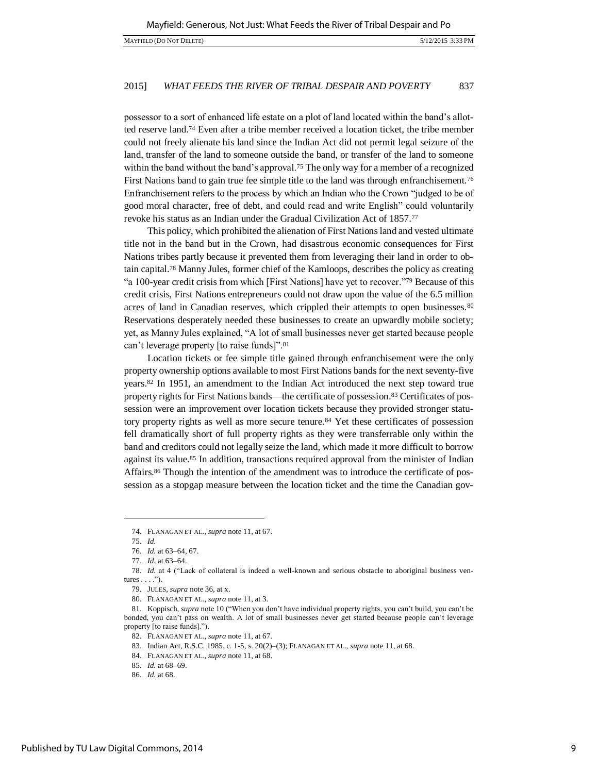possessor to a sort of enhanced life estate on a plot of land located within the band's allotted reserve land.74 Even after a tribe member received a location ticket, the tribe member could not freely alienate his land since the Indian Act did not permit legal seizure of the land, transfer of the land to someone outside the band, or transfer of the land to someone within the band without the band's approval.<sup>75</sup> The only way for a member of a recognized First Nations band to gain true fee simple title to the land was through enfranchisement.<sup>76</sup> Enfranchisement refers to the process by which an Indian who the Crown "judged to be of good moral character, free of debt, and could read and write English" could voluntarily revoke his status as an Indian under the Gradual Civilization Act of 1857.<sup>77</sup>

This policy, which prohibited the alienation of First Nations land and vested ultimate title not in the band but in the Crown, had disastrous economic consequences for First Nations tribes partly because it prevented them from leveraging their land in order to obtain capital.78 Manny Jules, former chief of the Kamloops, describes the policy as creating "a 100-year credit crisis from which [First Nations] have yet to recover."79 Because of this credit crisis, First Nations entrepreneurs could not draw upon the value of the 6.5 million acres of land in Canadian reserves, which crippled their attempts to open businesses.<sup>80</sup> Reservations desperately needed these businesses to create an upwardly mobile society; yet, as Manny Jules explained, "A lot of small businesses never get started because people can't leverage property [to raise funds]".<sup>81</sup>

Location tickets or fee simple title gained through enfranchisement were the only property ownership options available to most First Nations bands for the next seventy-five years.82 In 1951, an amendment to the Indian Act introduced the next step toward true property rights for First Nations bands—the certificate of possession.83 Certificates of possession were an improvement over location tickets because they provided stronger statutory property rights as well as more secure tenure.84 Yet these certificates of possession fell dramatically short of full property rights as they were transferrable only within the band and creditors could not legally seize the land, which made it more difficult to borrow against its value.85 In addition, transactions required approval from the minister of Indian Affairs.86 Though the intention of the amendment was to introduce the certificate of possession as a stopgap measure between the location ticket and the time the Canadian gov-

<sup>74.</sup> FLANAGAN ET AL., *supra* note 11, at 67.

<sup>75.</sup> *Id.*

<sup>76.</sup> *Id.* at 63–64, 67.

<sup>77.</sup> *Id.* at 63–64.

<sup>78.</sup> *Id.* at 4 ("Lack of collateral is indeed a well-known and serious obstacle to aboriginal business ventures  $\dots$ .").

<sup>79.</sup> JULES, *supra* note 36, at x.

<sup>80.</sup> FLANAGAN ET AL., *supra* note 11, at 3.

<sup>81.</sup> Koppisch, *supra* note 10 ("When you don't have individual property rights, you can't build, you can't be bonded, you can't pass on wealth. A lot of small businesses never get started because people can't leverage property [to raise funds].").

<sup>82.</sup> FLANAGAN ET AL., *supra* note 11, at 67.

<sup>83.</sup> Indian Act, R.S.C. 1985, c. 1-5, s. 20(2)–(3); FLANAGAN ET AL., *supra* note 11, at 68.

<sup>84.</sup> FLANAGAN ET AL., *supra* note 11, at 68.

<sup>85.</sup> *Id.* at 68–69.

<sup>86.</sup> *Id.* at 68.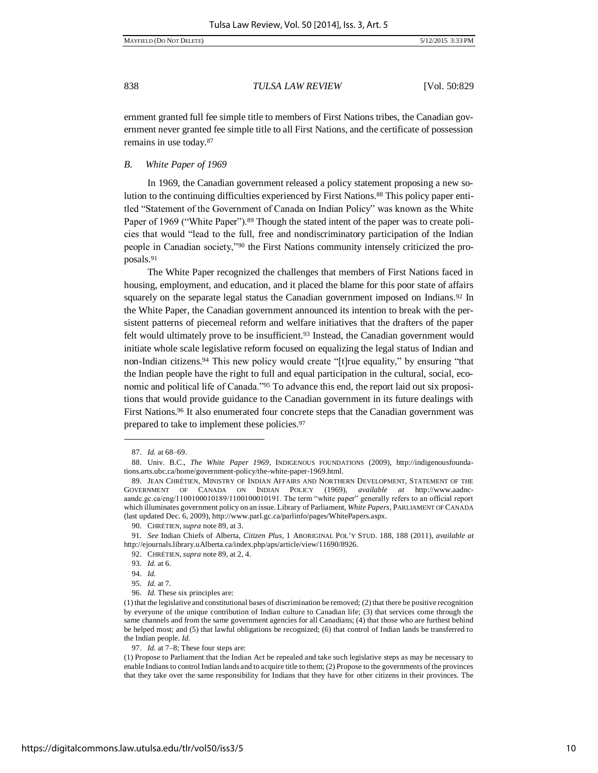ernment granted full fee simple title to members of First Nations tribes, the Canadian government never granted fee simple title to all First Nations, and the certificate of possession remains in use today.<sup>87</sup>

*B. White Paper of 1969* 

In 1969, the Canadian government released a policy statement proposing a new solution to the continuing difficulties experienced by First Nations.88 This policy paper entitled "Statement of the Government of Canada on Indian Policy" was known as the White Paper of 1969 ("White Paper").<sup>89</sup> Though the stated intent of the paper was to create policies that would "lead to the full, free and nondiscriminatory participation of the Indian people in Canadian society,"90 the First Nations community intensely criticized the proposals.<sup>91</sup>

The White Paper recognized the challenges that members of First Nations faced in housing, employment, and education, and it placed the blame for this poor state of affairs squarely on the separate legal status the Canadian government imposed on Indians.<sup>92</sup> In the White Paper, the Canadian government announced its intention to break with the persistent patterns of piecemeal reform and welfare initiatives that the drafters of the paper felt would ultimately prove to be insufficient.93 Instead, the Canadian government would initiate whole scale legislative reform focused on equalizing the legal status of Indian and non-Indian citizens.<sup>94</sup> This new policy would create "[t]rue equality," by ensuring "that the Indian people have the right to full and equal participation in the cultural, social, economic and political life of Canada."95 To advance this end, the report laid out six propositions that would provide guidance to the Canadian government in its future dealings with First Nations.96 It also enumerated four concrete steps that the Canadian government was prepared to take to implement these policies.<sup>97</sup>

l

94. *Id.*

<sup>87.</sup> *Id.* at 68–69.

<sup>88.</sup> Univ. B.C., *The White Paper 1969*, INDIGENOUS FOUNDATIONS (2009), http://indigenousfoundations.arts.ubc.ca/home/government-policy/the-white-paper-1969.html.

<sup>89.</sup> JEAN CHRÉTIEN, MINISTRY OF INDIAN AFFAIRS AND NORTHERN DEVELOPMENT, STATEMENT OF THE GOVERNMENT OF CANADA ON INDIAN POLICY (1969), *available at* http://www.aadncaandc.gc.ca/eng/1100100010189/1100100010191. The term "white paper" generally refers to an official report which illuminates government policy on an issue. Library of Parliament, *White Papers*, PARLIAMENT OF CANADA (last updated Dec. 6, 2009), http://www.parl.gc.ca/parlinfo/pages/WhitePapers.aspx.

<sup>90.</sup> CHRÉTIEN, *supra* note 89, at 3.

<sup>91</sup>*. See* Indian Chiefs of Alberta, *Citizen Plus*, 1 ABORIGINAL POL'Y STUD. 188, 188 (2011), *available at*  http://ejournals.library.uAlberta.ca/index.php/aps/article/view/11690/8926.

<sup>92.</sup> CHRÉTIEN, *supra* note 89, at 2, 4.

<sup>93.</sup> *Id.* at 6.

<sup>95.</sup> *Id.* at 7.

<sup>96.</sup> *Id.* These six principles are:

<sup>(1)</sup> that the legislative and constitutional bases of discrimination be removed; (2) that there be positive recognition by everyone of the unique contribution of Indian culture to Canadian life; (3) that services come through the same channels and from the same government agencies for all Canadians; (4) that those who are furthest behind be helped most; and (5) that lawful obligations be recognized; (6) that control of Indian lands be transferred to the Indian people. *Id.* 

<sup>97.</sup> *Id.* at 7–8; These four steps are:

<sup>(1)</sup> Propose to Parliament that the Indian Act be repealed and take such legislative steps as may be necessary to enable Indians to control Indian lands and to acquire title to them; (2) Propose to the governments of the provinces that they take over the same responsibility for Indians that they have for other citizens in their provinces. The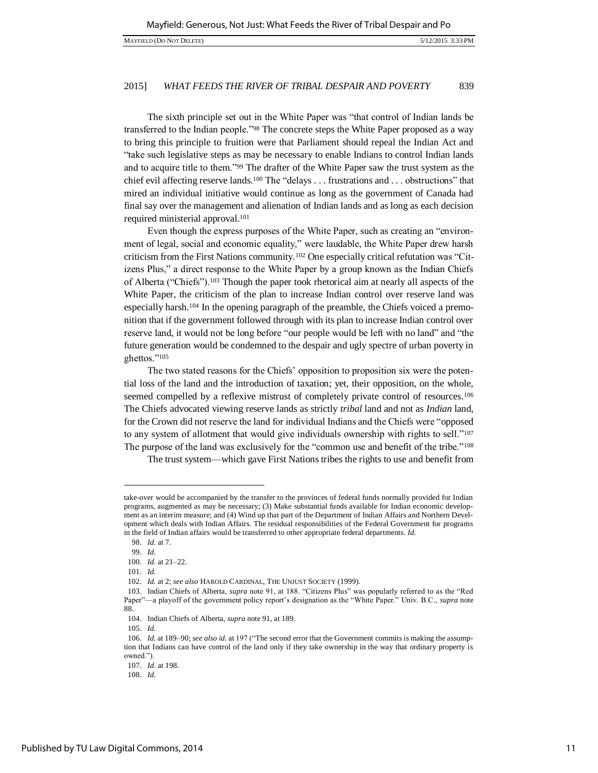The sixth principle set out in the White Paper was "that control of Indian lands be transferred to the Indian people."98 The concrete steps the White Paper proposed as a way to bring this principle to fruition were that Parliament should repeal the Indian Act and "take such legislative steps as may be necessary to enable Indians to control Indian lands and to acquire title to them."99 The drafter of the White Paper saw the trust system as the chief evil affecting reserve lands.<sup>100</sup> The "delays . . . frustrations and . . . obstructions" that mired an individual initiative would continue as long as the government of Canada had final say over the management and alienation of Indian lands and as long as each decision required ministerial approval.<sup>101</sup>

Even though the express purposes of the White Paper, such as creating an "environment of legal, social and economic equality," were laudable, the White Paper drew harsh criticism from the First Nations community.102 One especially critical refutation was "Citizens Plus," a direct response to the White Paper by a group known as the Indian Chiefs of Alberta ("Chiefs").103 Though the paper took rhetorical aim at nearly all aspects of the White Paper, the criticism of the plan to increase Indian control over reserve land was especially harsh.104 In the opening paragraph of the preamble, the Chiefs voiced a premonition that if the government followed through with its plan to increase Indian control over reserve land, it would not be long before "our people would be left with no land" and "the future generation would be condemned to the despair and ugly spectre of urban poverty in ghettos."<sup>105</sup>

The two stated reasons for the Chiefs' opposition to proposition six were the potential loss of the land and the introduction of taxation; yet, their opposition, on the whole, seemed compelled by a reflexive mistrust of completely private control of resources.<sup>106</sup> The Chiefs advocated viewing reserve lands as strictly *tribal* land and not as *Indian* land, for the Crown did not reserve the land for individual Indians and the Chiefs were "opposed to any system of allotment that would give individuals ownership with rights to sell."<sup>107</sup> The purpose of the land was exclusively for the "common use and benefit of the tribe."<sup>108</sup>

The trust system—which gave First Nations tribes the rights to use and benefit from

 $\overline{a}$ 

105. *Id.*

take-over would be accompanied by the transfer to the provinces of federal funds normally provided for Indian programs, augmented as may be necessary; (3) Make substantial funds available for Indian economic development as an interim measure; and (4) Wind up that part of the Department of Indian Affairs and Northern Development which deals with Indian Affairs. The residual responsibilities of the Federal Government for programs in the field of Indian affairs would be transferred to other appropriate federal departments. *Id.*

<sup>98.</sup> *Id.* at 7.

<sup>99.</sup> *Id.*

<sup>100.</sup> *Id.* at 21–22.

<sup>101.</sup> *Id.*

<sup>102.</sup> *Id.* at 2; see also HAROLD CARDINAL, THE UNJUST SOCIETY (1999).

<sup>103.</sup> Indian Chiefs of Alberta, *supra* note 91, at 188. "Citizens Plus" was popularly referred to as the "Red Paper"—a playoff of the government policy report's designation as the "White Paper." Univ. B.C., *supra* note 88.

<sup>104.</sup> Indian Chiefs of Alberta, *supra* note 91, at 189.

<sup>106.</sup> *Id.* at 189–90; *see also id.* at 197 ("The second error that the Government commits is making the assumption that Indians can have control of the land only if they take ownership in the way that ordinary property is owned.").

<sup>107.</sup> *Id.* at 198.

<sup>108.</sup> *Id.*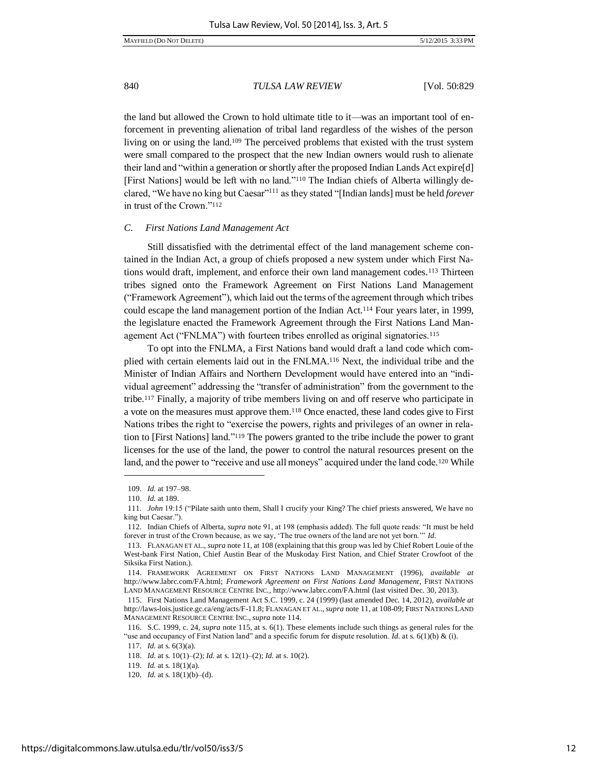the land but allowed the Crown to hold ultimate title to it—was an important tool of enforcement in preventing alienation of tribal land regardless of the wishes of the person living on or using the land.109 The perceived problems that existed with the trust system were small compared to the prospect that the new Indian owners would rush to alienate their land and "within a generation or shortly after the proposed Indian Lands Act expire[d] [First Nations] would be left with no land."110 The Indian chiefs of Alberta willingly declared, "We have no king but Caesar"<sup>111</sup> as they stated "[Indian lands] must be held *forever* in trust of the Crown."<sup>112</sup>

#### *C. First Nations Land Management Act*

Still dissatisfied with the detrimental effect of the land management scheme contained in the Indian Act, a group of chiefs proposed a new system under which First Nations would draft, implement, and enforce their own land management codes.<sup>113</sup> Thirteen tribes signed onto the Framework Agreement on First Nations Land Management ("Framework Agreement"), which laid out the terms of the agreement through which tribes could escape the land management portion of the Indian Act.114 Four years later, in 1999, the legislature enacted the Framework Agreement through the First Nations Land Management Act ("FNLMA") with fourteen tribes enrolled as original signatories.<sup>115</sup>

To opt into the FNLMA, a First Nations band would draft a land code which complied with certain elements laid out in the FNLMA.116 Next, the individual tribe and the Minister of Indian Affairs and Northern Development would have entered into an "individual agreement" addressing the "transfer of administration" from the government to the tribe.117 Finally, a majority of tribe members living on and off reserve who participate in a vote on the measures must approve them.118 Once enacted, these land codes give to First Nations tribes the right to "exercise the powers, rights and privileges of an owner in relation to [First Nations] land."119 The powers granted to the tribe include the power to grant licenses for the use of the land, the power to control the natural resources present on the land, and the power to "receive and use all moneys" acquired under the land code.<sup>120</sup> While

<sup>109.</sup> *Id.* at 197–98.

<sup>110.</sup> *Id.* at 189.

<sup>111</sup>*. John* 19:15 ("Pilate saith unto them, Shall I crucify your King? The chief priests answered, We have no king but Caesar.").

<sup>112</sup>*.* Indian Chiefs of Alberta, *supra* note 91, at 198 (emphasis added). The full quote reads: "It must be held forever in trust of the Crown because, as we say, 'The true owners of the land are not yet born.'" *Id.*

<sup>113.</sup> FLANAGAN ET AL., *supra* note 11, at 108 (explaining that this group was led by Chief Robert Louie of the West-bank First Nation, Chief Austin Bear of the Muskoday First Nation, and Chief Strater Crowfoot of the Siksika First Nation.).

<sup>114.</sup> FRAMEWORK AGREEMENT ON FIRST NATIONS LAND MANAGEMENT (1996), *available at* http://www.labrc.com/FA.html; Framework Agreement on First Nations Land Management, FIRST NATIONS LAND MANAGEMENT RESOURCE CENTRE INC., http://www.labrc.com/FA.html (last visited Dec. 30, 2013).

<sup>115.</sup> First Nations Land Management Act S.C. 1999, c. 24 (1999) (last amended Dec. 14, 2012), *available at* http://laws-lois.justice.gc.ca/eng/acts/F-11.8; FLANAGAN ET AL., *supra* note 11, at 108-09; FIRST NATIONS LAND MANAGEMENT RESOURCE CENTRE INC., *supra* note 114.

<sup>116.</sup> S.C. 1999, c. 24, *supra* note 115, at s. 6(1). These elements include such things as general rules for the "use and occupancy of First Nation land" and a specific forum for dispute resolution. *Id.* at s.  $6(1)(b) \& (i)$ .

<sup>117.</sup> *Id.* at s. 6(3)(a).

<sup>118.</sup> *Id.* at s. 10(1)–(2); *Id.* at s. 12(1)–(2); *Id.* at s. 10(2).

<sup>119.</sup> *Id.* at s. 18(1)(a).

<sup>120.</sup> *Id.* at s. 18(1)(b)–(d).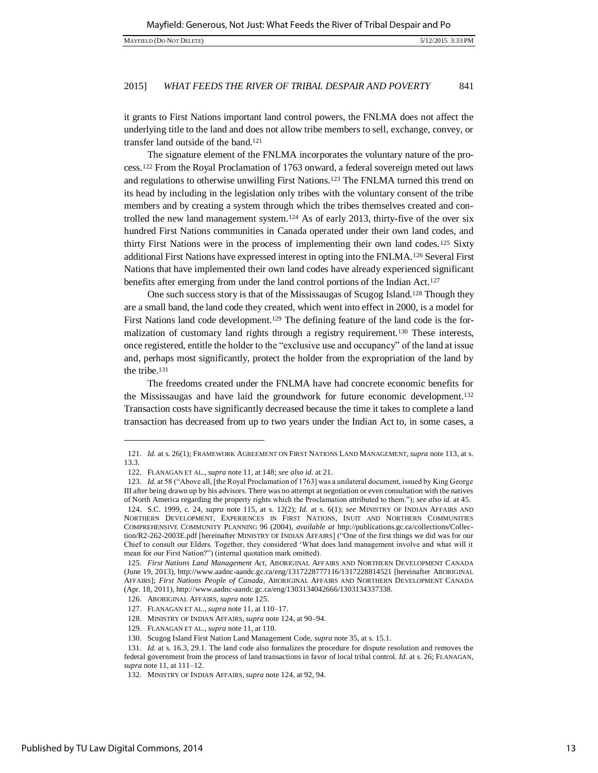it grants to First Nations important land control powers, the FNLMA does not affect the underlying title to the land and does not allow tribe members to sell, exchange, convey, or transfer land outside of the band.<sup>121</sup>

The signature element of the FNLMA incorporates the voluntary nature of the process.122 From the Royal Proclamation of 1763 onward, a federal sovereign meted out laws and regulations to otherwise unwilling First Nations.123 The FNLMA turned this trend on its head by including in the legislation only tribes with the voluntary consent of the tribe members and by creating a system through which the tribes themselves created and controlled the new land management system.<sup>124</sup> As of early 2013, thirty-five of the over six hundred First Nations communities in Canada operated under their own land codes, and thirty First Nations were in the process of implementing their own land codes.125 Sixty additional First Nations have expressed interest in opting into the FNLMA.126 Several First Nations that have implemented their own land codes have already experienced significant benefits after emerging from under the land control portions of the Indian Act.<sup>127</sup>

One such success story is that of the Mississaugas of Scugog Island.128 Though they are a small band, the land code they created, which went into effect in 2000, is a model for First Nations land code development.<sup>129</sup> The defining feature of the land code is the formalization of customary land rights through a registry requirement.130 These interests, once registered, entitle the holder to the "exclusive use and occupancy" of the land at issue and, perhaps most significantly, protect the holder from the expropriation of the land by the tribe.<sup>131</sup>

The freedoms created under the FNLMA have had concrete economic benefits for the Mississaugas and have laid the groundwork for future economic development.<sup>132</sup> Transaction costs have significantly decreased because the time it takes to complete a land transaction has decreased from up to two years under the Indian Act to, in some cases, a

<sup>121.</sup> *Id.* at s. 26(1); FRAMEWORK AGREEMENT ON FIRST NATIONS LAND MANAGEMENT, *supra* note 113, at s. 13.3.

<sup>122.</sup> FLANAGAN ET AL., *supra* note 11, at 148; *see also id.* at 21.

<sup>123.</sup> *Id.* at 58 ("Above all, [the Royal Proclamation of 1763] was a unilateral document, issued by King George III after being drawn up by his advisors. There was no attempt at negotiation or even consultation with the natives of North America regarding the property rights which the Proclamation attributed to them."); *see also id.* at 45. 124. S.C. 1999, c. 24, *supra* note 115, at s. 12(2); *Id.* at s. 6(1); *see* MINISTRY OF INDIAN AFFAIRS AND NORTHERN DEVELOPMENT, EXPERIENCES IN FIRST NATIONS, INUIT AND NORTHERN COMMUNITIES COMPREHENSIVE COMMUNITY PLANNING 96 (2004), *available at* http://publications.gc.ca/collections/Collec-

tion/R2-262-2003E.pdf [hereinafter MINISTRY OF INDIAN AFFAIRS] ("One of the first things we did was for our Chief to consult our Elders. Together, they considered 'What does land management involve and what will it mean for our First Nation?") (internal quotation mark omitted).

<sup>125</sup>*. First Nations Land Management Act*, ABORIGINAL AFFAIRS AND NORTHERN DEVELOPMENT CANADA (June 19, 2013), http://www.aadnc-aandc.gc.ca/eng/1317228777116/1317228814521 [hereinafter ABORIGINAL AFFAIRS]; *First Nations People of Canada*, ABORIGINAL AFFAIRS AND NORTHERN DEVELOPMENT CANADA (Apr. 18, 2011), http://www.aadnc-aandc.gc.ca/eng/1303134042666/1303134337338.

<sup>126.</sup> ABORIGINAL AFFAIRS, *supra* note 125.

<sup>127.</sup> FLANAGAN ET AL., *supra* note 11, at 110–17.

<sup>128.</sup> MINISTRY OF INDIAN AFFAIRS, *supra* note 124, at 90–94.

<sup>129.</sup> FLANAGAN ET AL., *supra* note 11, at 110.

<sup>130.</sup> Scugog Island First Nation Land Management Code, *supra* note 35, at s. 15.1.

<sup>131.</sup> *Id.* at s. 16.3, 29.1. The land code also formalizes the procedure for dispute resolution and removes the federal government from the process of land transactions in favor of local tribal control. *Id.* at s. 26; FLANAGAN, *supra* note 11, at 111–12.

<sup>132.</sup> MINISTRY OF INDIAN AFFAIRS, *supra* note 124, at 92, 94.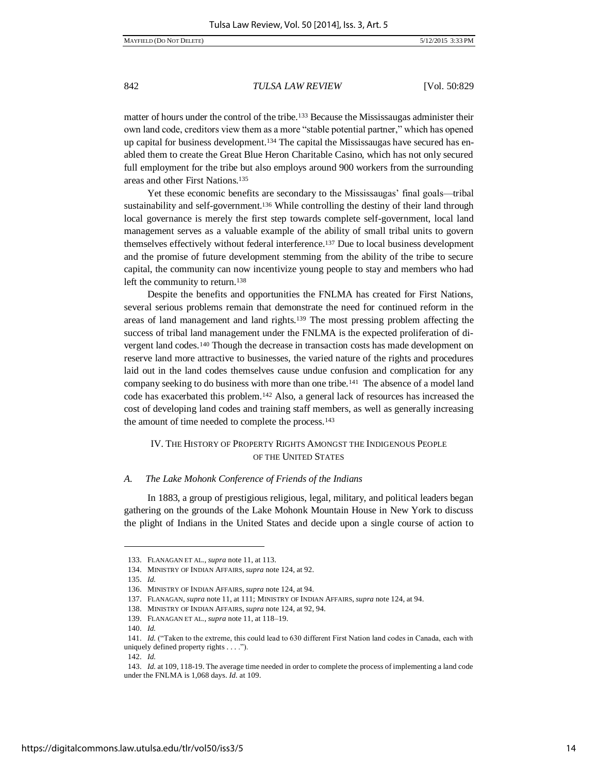matter of hours under the control of the tribe.133 Because the Mississaugas administer their own land code, creditors view them as a more "stable potential partner," which has opened up capital for business development.134 The capital the Mississaugas have secured has enabled them to create the Great Blue Heron Charitable Casino, which has not only secured full employment for the tribe but also employs around 900 workers from the surrounding areas and other First Nations.<sup>135</sup>

Yet these economic benefits are secondary to the Mississaugas' final goals—tribal sustainability and self-government.<sup>136</sup> While controlling the destiny of their land through local governance is merely the first step towards complete self-government, local land management serves as a valuable example of the ability of small tribal units to govern themselves effectively without federal interference.<sup>137</sup> Due to local business development and the promise of future development stemming from the ability of the tribe to secure capital, the community can now incentivize young people to stay and members who had left the community to return.<sup>138</sup>

Despite the benefits and opportunities the FNLMA has created for First Nations, several serious problems remain that demonstrate the need for continued reform in the areas of land management and land rights.139 The most pressing problem affecting the success of tribal land management under the FNLMA is the expected proliferation of divergent land codes.140 Though the decrease in transaction costs has made development on reserve land more attractive to businesses, the varied nature of the rights and procedures laid out in the land codes themselves cause undue confusion and complication for any company seeking to do business with more than one tribe.141 The absence of a model land code has exacerbated this problem.142 Also, a general lack of resources has increased the cost of developing land codes and training staff members, as well as generally increasing the amount of time needed to complete the process.<sup>143</sup>

## IV. THE HISTORY OF PROPERTY RIGHTS AMONGST THE INDIGENOUS PEOPLE OF THE UNITED STATES

#### *A. The Lake Mohonk Conference of Friends of the Indians*

In 1883, a group of prestigious religious, legal, military, and political leaders began gathering on the grounds of the Lake Mohonk Mountain House in New York to discuss the plight of Indians in the United States and decide upon a single course of action to

l

<sup>133.</sup> FLANAGAN ET AL., *supra* note 11, at 113.

<sup>134.</sup> MINISTRY OF INDIAN AFFAIRS, *supra* note 124, at 92.

<sup>135.</sup> *Id.*

<sup>136.</sup> MINISTRY OF INDIAN AFFAIRS, *supra* note 124, at 94.

<sup>137.</sup> FLANAGAN, *supra* note 11, at 111; MINISTRY OF INDIAN AFFAIRS, *supra* note 124, at 94.

<sup>138.</sup> MINISTRY OF INDIAN AFFAIRS, *supra* note 124, at 92, 94.

<sup>139.</sup> FLANAGAN ET AL., *supra* note 11, at 118–19.

<sup>140.</sup> *Id.*

<sup>141.</sup> *Id.* ("Taken to the extreme, this could lead to 630 different First Nation land codes in Canada, each with uniquely defined property rights . . . .").

<sup>142.</sup> *Id.*

<sup>143.</sup> *Id.* at 109, 118-19. The average time needed in order to complete the process of implementing a land code under the FNLMA is 1,068 days. *Id.* at 109.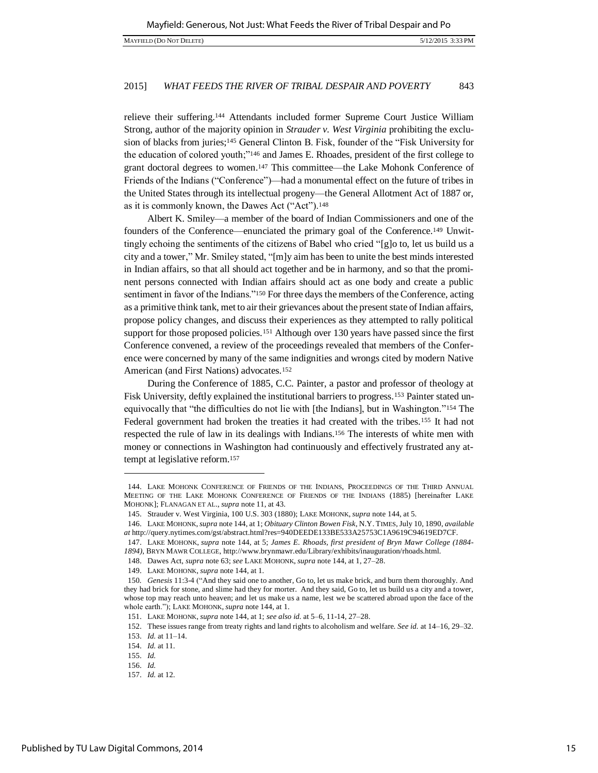relieve their suffering.144 Attendants included former Supreme Court Justice William Strong, author of the majority opinion in *Strauder v. West Virginia* prohibiting the exclusion of blacks from juries;<sup>145</sup> General Clinton B. Fisk, founder of the "Fisk University for the education of colored youth;"146 and James E. Rhoades, president of the first college to grant doctoral degrees to women.147 This committee—the Lake Mohonk Conference of Friends of the Indians ("Conference")—had a monumental effect on the future of tribes in the United States through its intellectual progeny—the General Allotment Act of 1887 or, as it is commonly known, the Dawes Act ("Act").<sup>148</sup>

Albert K. Smiley—a member of the board of Indian Commissioners and one of the founders of the Conference—enunciated the primary goal of the Conference.149 Unwittingly echoing the sentiments of the citizens of Babel who cried "[g]o to, let us build us a city and a tower," Mr. Smiley stated, "[m]y aim has been to unite the best minds interested in Indian affairs, so that all should act together and be in harmony, and so that the prominent persons connected with Indian affairs should act as one body and create a public sentiment in favor of the Indians."<sup>150</sup> For three days the members of the Conference, acting as a primitive think tank, met to air their grievances about the present state of Indian affairs, propose policy changes, and discuss their experiences as they attempted to rally political support for those proposed policies.<sup>151</sup> Although over 130 years have passed since the first Conference convened, a review of the proceedings revealed that members of the Conference were concerned by many of the same indignities and wrongs cited by modern Native American (and First Nations) advocates.<sup>152</sup>

During the Conference of 1885, C.C. Painter, a pastor and professor of theology at Fisk University, deftly explained the institutional barriers to progress.153 Painter stated unequivocally that "the difficulties do not lie with [the Indians], but in Washington."154 The Federal government had broken the treaties it had created with the tribes.155 It had not respected the rule of law in its dealings with Indians.156 The interests of white men with money or connections in Washington had continuously and effectively frustrated any attempt at legislative reform.<sup>157</sup>

<sup>144.</sup> LAKE MOHONK CONFERENCE OF FRIENDS OF THE INDIANS, PROCEEDINGS OF THE THIRD ANNUAL MEETING OF THE LAKE MOHONK CONFERENCE OF FRIENDS OF THE INDIANS (1885) [hereinafter LAKE MOHONK]; FLANAGAN ET AL., *supra* note 11, at 43.

<sup>145.</sup> Strauder v. West Virginia, 100 U.S. 303 (1880); LAKE MOHONK, *supra* note 144, at 5.

<sup>146.</sup> LAKE MOHONK,*supra* note 144, at 1; *Obituary Clinton Bowen Fisk*, N.Y. TIMES, July 10, 1890, *available at* http://query.nytimes.com/gst/abstract.html?res=940DEEDE133BE533A25753C1A9619C94619ED7CF.

<sup>147.</sup> LAKE MOHONK, *supra* note 144, at 5; *James E. Rhoads, first president of Bryn Mawr College (1884- 1894)*, BRYN MAWR COLLEGE, http://www.brynmawr.edu/Library/exhibits/inauguration/rhoads.html.

<sup>148.</sup> Dawes Act, *supra* note 63; *see* LAKE MOHONK, *supra* note 144, at 1, 27–28.

<sup>149.</sup> LAKE MOHONK, *supra* note 144, at 1.

<sup>150</sup>*. Genesis* 11:3-4 ("And they said one to another, Go to, let us make brick, and burn them thoroughly. And they had brick for stone, and slime had they for morter. And they said, Go to, let us build us a city and a tower, whose top may reach unto heaven; and let us make us a name, lest we be scattered abroad upon the face of the whole earth."); LAKE MOHONK, *supra* note 144, at 1.

<sup>151.</sup> LAKE MOHONK, *supra* note 144, at 1; *see also id.* at 5–6, 11-14, 27–28.

<sup>152.</sup> These issues range from treaty rights and land rights to alcoholism and welfare. *See id.* at 14–16, 29–32.

<sup>153.</sup> *Id.* at 11–14.

<sup>154.</sup> *Id.* at 11.

<sup>155.</sup> *Id.*

<sup>156.</sup> *Id.*

<sup>157.</sup> *Id.* at 12.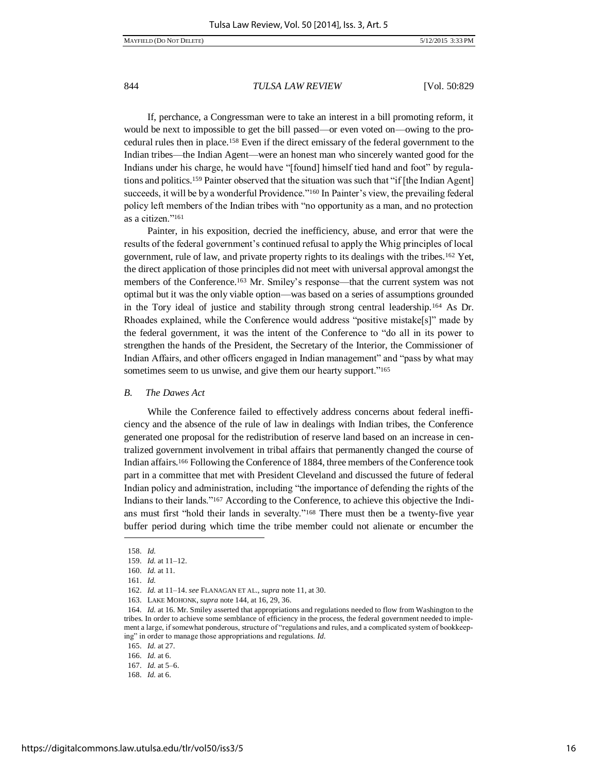If, perchance, a Congressman were to take an interest in a bill promoting reform, it would be next to impossible to get the bill passed—or even voted on—owing to the procedural rules then in place.158 Even if the direct emissary of the federal government to the Indian tribes—the Indian Agent—were an honest man who sincerely wanted good for the Indians under his charge, he would have "[found] himself tied hand and foot" by regulations and politics.159 Painter observed that the situation was such that "if [the Indian Agent] succeeds, it will be by a wonderful Providence."<sup>160</sup> In Painter's view, the prevailing federal policy left members of the Indian tribes with "no opportunity as a man, and no protection as a citizen."<sup>161</sup>

Painter, in his exposition, decried the inefficiency, abuse, and error that were the results of the federal government's continued refusal to apply the Whig principles of local government, rule of law, and private property rights to its dealings with the tribes.162 Yet, the direct application of those principles did not meet with universal approval amongst the members of the Conference.<sup>163</sup> Mr. Smiley's response—that the current system was not optimal but it was the only viable option—was based on a series of assumptions grounded in the Tory ideal of justice and stability through strong central leadership.164 As Dr. Rhoades explained, while the Conference would address "positive mistake[s]" made by the federal government, it was the intent of the Conference to "do all in its power to strengthen the hands of the President, the Secretary of the Interior, the Commissioner of Indian Affairs, and other officers engaged in Indian management" and "pass by what may sometimes seem to us unwise, and give them our hearty support."<sup>165</sup>

#### *B. The Dawes Act*

While the Conference failed to effectively address concerns about federal inefficiency and the absence of the rule of law in dealings with Indian tribes, the Conference generated one proposal for the redistribution of reserve land based on an increase in centralized government involvement in tribal affairs that permanently changed the course of Indian affairs.166 Following the Conference of 1884, three members of the Conference took part in a committee that met with President Cleveland and discussed the future of federal Indian policy and administration, including "the importance of defending the rights of the Indians to their lands."167 According to the Conference, to achieve this objective the Indians must first "hold their lands in severalty."168 There must then be a twenty-five year buffer period during which time the tribe member could not alienate or encumber the

 $\overline{a}$ 

165. *Id.* at 27.

<sup>158.</sup> *Id.*

<sup>159.</sup> *Id.* at 11–12.

<sup>160.</sup> *Id.* at 11.

<sup>161.</sup> *Id.*

<sup>162.</sup> *Id.* at 11–14. *see* FLANAGAN ET AL., *supra* note 11, at 30.

<sup>163.</sup> LAKE MOHONK, *supra* note 144, at 16, 29, 36.

<sup>164.</sup> *Id.* at 16. Mr. Smiley asserted that appropriations and regulations needed to flow from Washington to the tribes. In order to achieve some semblance of efficiency in the process, the federal government needed to implement a large, if somewhat ponderous, structure of "regulations and rules, and a complicated system of bookkeeping" in order to manage those appropriations and regulations. *Id.*

<sup>166.</sup> *Id.* at 6.

<sup>167.</sup> *Id.* at 5–6.

<sup>168.</sup> *Id.* at 6.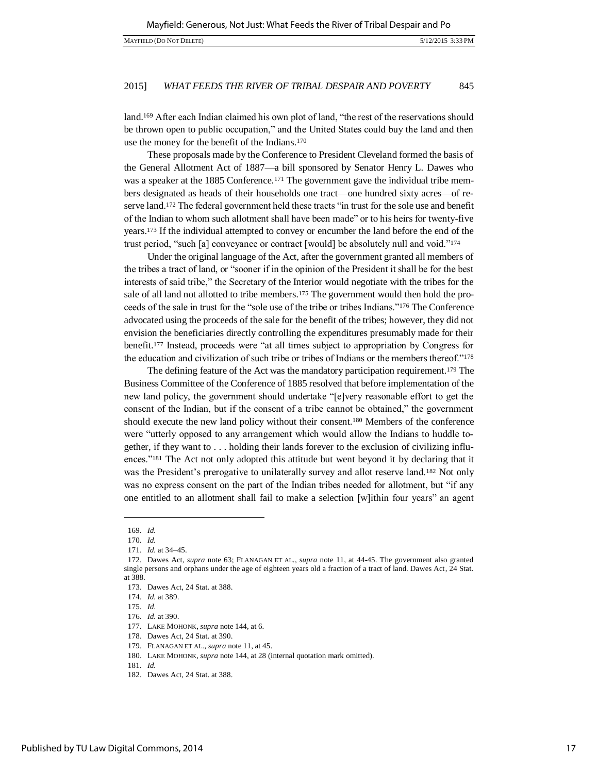land.<sup>169</sup> After each Indian claimed his own plot of land, "the rest of the reservations should be thrown open to public occupation," and the United States could buy the land and then use the money for the benefit of the Indians.<sup>170</sup>

These proposals made by the Conference to President Cleveland formed the basis of the General Allotment Act of 1887—a bill sponsored by Senator Henry L. Dawes who was a speaker at the 1885 Conference.<sup>171</sup> The government gave the individual tribe members designated as heads of their households one tract—one hundred sixty acres—of reserve land.<sup>172</sup> The federal government held these tracts "in trust for the sole use and benefit of the Indian to whom such allotment shall have been made" or to his heirs for twenty-five years.173 If the individual attempted to convey or encumber the land before the end of the trust period, "such [a] conveyance or contract [would] be absolutely null and void."<sup>174</sup>

Under the original language of the Act, after the government granted all members of the tribes a tract of land, or "sooner if in the opinion of the President it shall be for the best interests of said tribe," the Secretary of the Interior would negotiate with the tribes for the sale of all land not allotted to tribe members.<sup>175</sup> The government would then hold the proceeds of the sale in trust for the "sole use of the tribe or tribes Indians."176 The Conference advocated using the proceeds of the sale for the benefit of the tribes; however, they did not envision the beneficiaries directly controlling the expenditures presumably made for their benefit.<sup>177</sup> Instead, proceeds were "at all times subject to appropriation by Congress for the education and civilization of such tribe or tribes of Indians or the members thereof."<sup>178</sup>

The defining feature of the Act was the mandatory participation requirement.179 The Business Committee of the Conference of 1885 resolved that before implementation of the new land policy, the government should undertake "[e]very reasonable effort to get the consent of the Indian, but if the consent of a tribe cannot be obtained," the government should execute the new land policy without their consent.180 Members of the conference were "utterly opposed to any arrangement which would allow the Indians to huddle together, if they want to . . . holding their lands forever to the exclusion of civilizing influences."181 The Act not only adopted this attitude but went beyond it by declaring that it was the President's prerogative to unilaterally survey and allot reserve land.<sup>182</sup> Not only was no express consent on the part of the Indian tribes needed for allotment, but "if any one entitled to an allotment shall fail to make a selection [w]ithin four years" an agent

l

<sup>169.</sup> *Id.*

<sup>170.</sup> *Id.*

<sup>171.</sup> *Id.* at 34–45.

<sup>172.</sup> Dawes Act, *supra* note 63; FLANAGAN ET AL., *supra* note 11, at 44-45. The government also granted single persons and orphans under the age of eighteen years old a fraction of a tract of land. Dawes Act, 24 Stat. at 388.

<sup>173.</sup> Dawes Act, 24 Stat. at 388.

<sup>174.</sup> *Id.* at 389.

<sup>175.</sup> *Id.*

<sup>176.</sup> *Id.* at 390.

<sup>177.</sup> LAKE MOHONK, *supra* note 144, at 6.

<sup>178.</sup> Dawes Act, 24 Stat. at 390.

<sup>179.</sup> FLANAGAN ET AL., *supra* note 11, at 45.

<sup>180.</sup> LAKE MOHONK, *supra* note 144, at 28 (internal quotation mark omitted).

<sup>181.</sup> *Id.* 

<sup>182.</sup> Dawes Act, 24 Stat. at 388.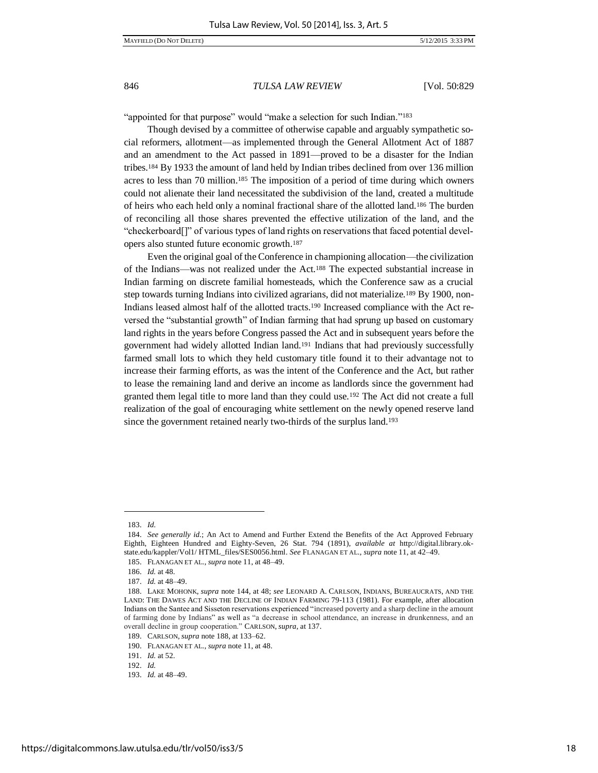MAYFIELD (DO NOT DELETE) 5/12/2015 3:33 PM

## 846 *TULSA LAW REVIEW* [Vol. 50:829

"appointed for that purpose" would "make a selection for such Indian."<sup>183</sup>

Though devised by a committee of otherwise capable and arguably sympathetic social reformers, allotment—as implemented through the General Allotment Act of 1887 and an amendment to the Act passed in 1891—proved to be a disaster for the Indian tribes.184 By 1933 the amount of land held by Indian tribes declined from over 136 million acres to less than 70 million.185 The imposition of a period of time during which owners could not alienate their land necessitated the subdivision of the land, created a multitude of heirs who each held only a nominal fractional share of the allotted land.186 The burden of reconciling all those shares prevented the effective utilization of the land, and the "checkerboard[]" of various types of land rights on reservations that faced potential developers also stunted future economic growth.<sup>187</sup>

Even the original goal of the Conference in championing allocation—the civilization of the Indians—was not realized under the Act.188 The expected substantial increase in Indian farming on discrete familial homesteads, which the Conference saw as a crucial step towards turning Indians into civilized agrarians, did not materialize.189 By 1900, non-Indians leased almost half of the allotted tracts.190 Increased compliance with the Act reversed the "substantial growth" of Indian farming that had sprung up based on customary land rights in the years before Congress passed the Act and in subsequent years before the government had widely allotted Indian land.191 Indians that had previously successfully farmed small lots to which they held customary title found it to their advantage not to increase their farming efforts, as was the intent of the Conference and the Act, but rather to lease the remaining land and derive an income as landlords since the government had granted them legal title to more land than they could use.192 The Act did not create a full realization of the goal of encouraging white settlement on the newly opened reserve land since the government retained nearly two-thirds of the surplus land.<sup>193</sup>

l

<sup>183.</sup> *Id.*

<sup>184.</sup> *See generally id.*; An Act to Amend and Further Extend the Benefits of the Act Approved February Eighth, Eighteen Hundred and Eighty-Seven, 26 Stat. 794 (1891), *available at* http://digital.library.okstate.edu/kappler/Vol1/ HTML\_files/SES0056.html. *See* FLANAGAN ET AL., *supra* note 11, at 42–49.

<sup>185.</sup> FLANAGAN ET AL., *supra* note 11, at 48–49.

<sup>186.</sup> *Id.* at 48.

<sup>187.</sup> *Id.* at 48–49.

<sup>188.</sup> LAKE MOHONK, *supra* note 144, at 48; *see* LEONARD A. CARLSON, INDIANS, BUREAUCRATS, AND THE LAND: THE DAWES ACT AND THE DECLINE OF INDIAN FARMING 79-113 (1981). For example, after allocation Indians on the Santee and Sisseton reservations experienced "increased poverty and a sharp decline in the amount of farming done by Indians" as well as "a decrease in school attendance, an increase in drunkenness, and an overall decline in group cooperation." CARLSON, *supra*, at 137.

<sup>189.</sup> CARLSON, *supra* note 188, at 133–62.

<sup>190.</sup> FLANAGAN ET AL., *supra* note 11, at 48.

<sup>191.</sup> *Id.* at 52.

<sup>192.</sup> *Id.* 

<sup>193.</sup> *Id.* at 48–49.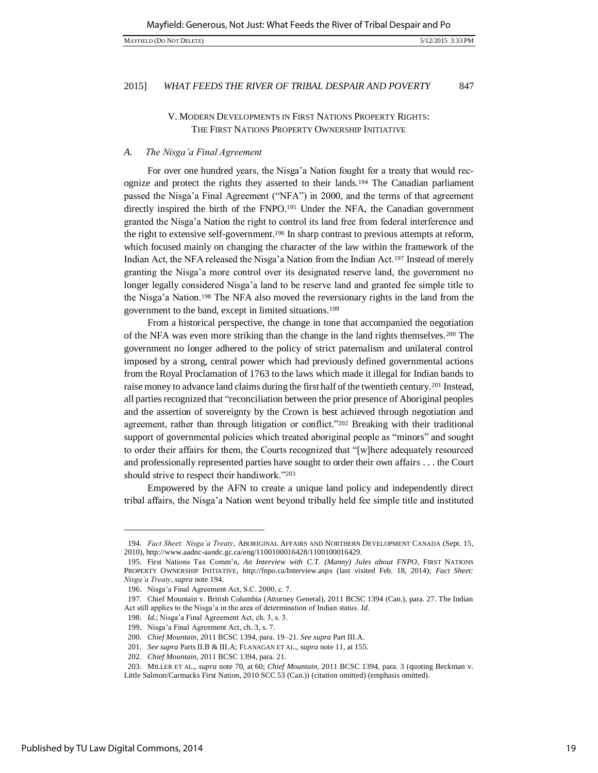# V. MODERN DEVELOPMENTS IN FIRST NATIONS PROPERTY RIGHTS: THE FIRST NATIONS PROPERTY OWNERSHIP INITIATIVE

#### *A. The Nisga'a Final Agreement*

For over one hundred years, the Nisga'a Nation fought for a treaty that would recognize and protect the rights they asserted to their lands.194 The Canadian parliament passed the Nisga'a Final Agreement ("NFA") in 2000, and the terms of that agreement directly inspired the birth of the FNPO.195 Under the NFA, the Canadian government granted the Nisga'a Nation the right to control its land free from federal interference and the right to extensive self-government.196 In sharp contrast to previous attempts at reform, which focused mainly on changing the character of the law within the framework of the Indian Act, the NFA released the Nisga'a Nation from the Indian Act.197 Instead of merely granting the Nisga'a more control over its designated reserve land, the government no longer legally considered Nisga'a land to be reserve land and granted fee simple title to the Nisga'a Nation.198 The NFA also moved the reversionary rights in the land from the government to the band, except in limited situations.<sup>199</sup>

From a historical perspective, the change in tone that accompanied the negotiation of the NFA was even more striking than the change in the land rights themselves.200 The government no longer adhered to the policy of strict paternalism and unilateral control imposed by a strong, central power which had previously defined governmental actions from the Royal Proclamation of 1763 to the laws which made it illegal for Indian bands to raise money to advance land claims during the first half of the twentieth century.201 Instead, all parties recognized that "reconciliation between the prior presence of Aboriginal peoples and the assertion of sovereignty by the Crown is best achieved through negotiation and agreement, rather than through litigation or conflict."202 Breaking with their traditional support of governmental policies which treated aboriginal people as "minors" and sought to order their affairs for them, the Courts recognized that "[w]here adequately resourced and professionally represented parties have sought to order their own affairs . . . the Court should strive to respect their handiwork."<sup>203</sup>

Empowered by the AFN to create a unique land policy and independently direct tribal affairs, the Nisga'a Nation went beyond tribally held fee simple title and instituted

<sup>194</sup>*. Fact Sheet: Nisga'a Treaty*, ABORIGINAL AFFAIRS AND NORTHERN DEVELOPMENT CANADA (Sept. 15, 2010), http://www.aadnc-aandc.gc.ca/eng/1100100016428/1100100016429.

<sup>195.</sup> First Nations Tax Comm'n, *An Interview with C.T. (Manny) Jules about FNPO*, FIRST NATIONS PROPERTY OWNERSHIP INITIATIVE, http://fnpo.ca/Interview.aspx (last visited Feb. 18, 2014); *Fact Sheet: Nisga'a Treaty*, *supra* note 194.

<sup>196.</sup> Nisga'a Final Agreement Act, S.C. 2000, c. 7.

<sup>197.</sup> Chief Mountain v. British Columbia (Attorney General), 2011 BCSC 1394 (Can.), para. 27. The Indian Act still applies to the Nisga'a in the area of determination of Indian status. *Id.*

<sup>198.</sup> *Id.*; Nisga'a Final Agreement Act, ch. 3, s. 3.

<sup>199.</sup> Nisga'a Final Agreement Act, ch. 3, s. 7.

<sup>200.</sup> *Chief Mountain*, 2011 BCSC 1394, para. 19–21. *See supra* Part III.A.

<sup>201</sup>*. See supra* Parts II.B & III.A; FLANAGAN ET AL., *supra* note 11, at 155.

<sup>202.</sup> *Chief Mountain*, 2011 BCSC 1394, para. 21.

<sup>203.</sup> MILLER ET AL., *supra* note 70, at 60; *Chief Mountain*, 2011 BCSC 1394, para. 3 (quoting Beckman v. Little Salmon/Carmacks First Nation, 2010 SCC 53 (Can.)) (citation omitted) (emphasis omitted).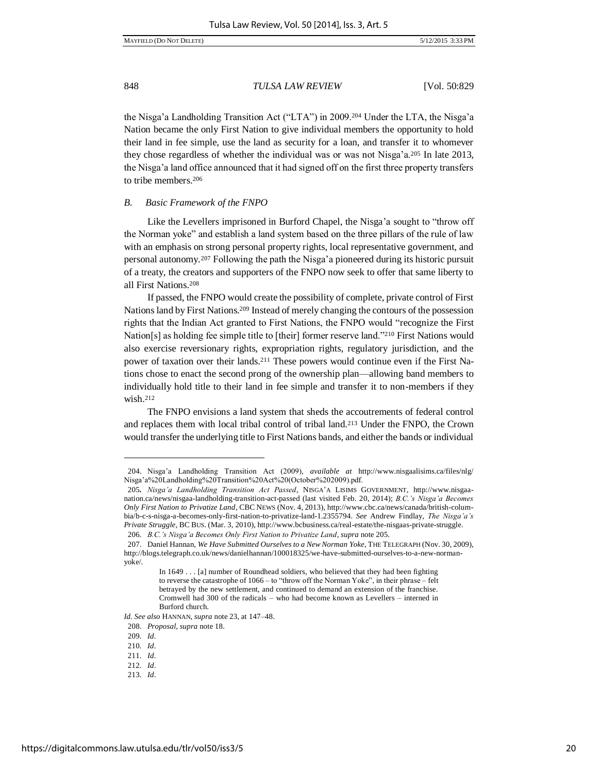the Nisga'a Landholding Transition Act ("LTA") in 2009.<sup>204</sup> Under the LTA, the Nisga'a Nation became the only First Nation to give individual members the opportunity to hold their land in fee simple, use the land as security for a loan, and transfer it to whomever they chose regardless of whether the individual was or was not Nisga'a.205 In late 2013, the Nisga'a land office announced that it had signed off on the first three property transfers to tribe members.<sup>206</sup>

#### *B. Basic Framework of the FNPO*

Like the Levellers imprisoned in Burford Chapel, the Nisga'a sought to "throw off the Norman yoke" and establish a land system based on the three pillars of the rule of law with an emphasis on strong personal property rights, local representative government, and personal autonomy.<sup>207</sup> Following the path the Nisga'a pioneered during its historic pursuit of a treaty, the creators and supporters of the FNPO now seek to offer that same liberty to all First Nations.<sup>208</sup>

If passed, the FNPO would create the possibility of complete, private control of First Nations land by First Nations.209 Instead of merely changing the contours of the possession rights that the Indian Act granted to First Nations, the FNPO would "recognize the First Nation[s] as holding fee simple title to [their] former reserve land."210 First Nations would also exercise reversionary rights, expropriation rights, regulatory jurisdiction, and the power of taxation over their lands.211 These powers would continue even if the First Nations chose to enact the second prong of the ownership plan—allowing band members to individually hold title to their land in fee simple and transfer it to non-members if they wish.<sup>212</sup>

The FNPO envisions a land system that sheds the accoutrements of federal control and replaces them with local tribal control of tribal land.213 Under the FNPO, the Crown would transfer the underlying title to First Nations bands, and either the bands or individual

<sup>204.</sup> Nisga'a Landholding Transition Act (2009), *available at* http://www.nisgaalisims.ca/files/nlg/ Nisga'a%20Landholding%20Transition%20Act%20(October%202009).pdf.

<sup>205</sup>*. Nisga'a Landholding Transition Act Passed*, NISGA'A LISIMS GOVERNMENT, http://www.nisgaanation.ca/news/nisgaa-landholding-transition-act-passed (last visited Feb. 20, 2014); *B.C.'s Nisga'a Becomes Only First Nation to Privatize Land*, CBC NEWS (Nov. 4, 2013), http://www.cbc.ca/news/canada/british-columbia/b-c-s-nisga-a-becomes-only-first-nation-to-privatize-land-1.2355794. *See* Andrew Findlay, *The Nisga'a's Private Struggle*, BC BUS. (Mar. 3, 2010), http://www.bcbusiness.ca/real-estate/the-nisgaas-private-struggle. 206*. B.C.'s Nisga'a Becomes Only First Nation to Privatize Land*, *supra* note 205.

<sup>207.</sup> Daniel Hannan, *We Have Submitted Ourselves to a New Norman Yoke*, THE TELEGRAPH (Nov. 30, 2009), http://blogs.telegraph.co.uk/news/danielhannan/100018325/we-have-submitted-ourselves-to-a-new-normanyoke/.

In 1649 . . . [a] number of Roundhead soldiers, who believed that they had been fighting to reverse the catastrophe of 1066 – to "throw off the Norman Yoke", in their phrase – felt betrayed by the new settlement, and continued to demand an extension of the franchise. Cromwell had 300 of the radicals – who had become known as Levellers – interned in Burford church.

*Id. See also* HANNAN, *supra* note 23, at 147–48.

<sup>208</sup>*. Proposal*, *supra* note 18.

<sup>209</sup>*. Id*.

<sup>210</sup>*. Id*.

<sup>211</sup>*. Id*.

<sup>212</sup>*. Id*.

<sup>213</sup>*. Id*.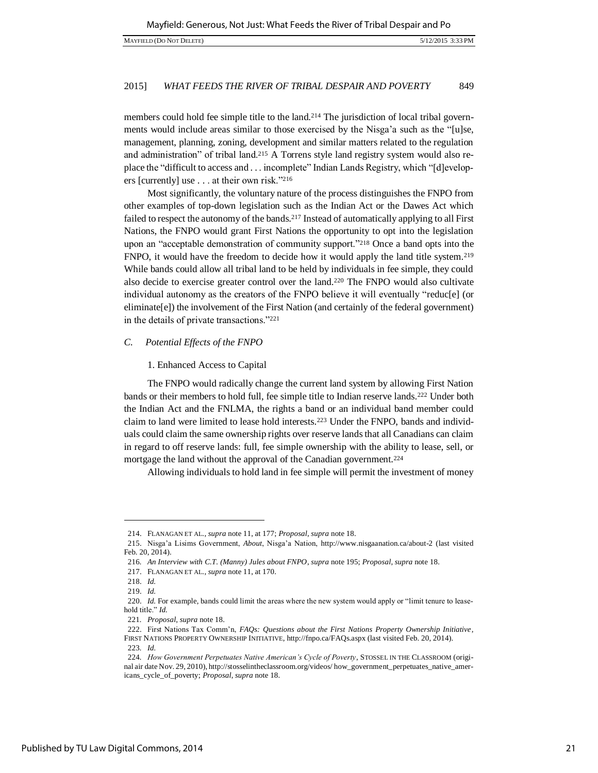members could hold fee simple title to the land.<sup>214</sup> The jurisdiction of local tribal governments would include areas similar to those exercised by the Nisga'a such as the "[u]se, management, planning, zoning, development and similar matters related to the regulation and administration" of tribal land.215 A Torrens style land registry system would also replace the "difficult to access and . . . incomplete" Indian Lands Registry, which "[d]evelopers [currently] use . . . at their own risk."<sup>216</sup>

Most significantly, the voluntary nature of the process distinguishes the FNPO from other examples of top-down legislation such as the Indian Act or the Dawes Act which failed to respect the autonomy of the bands.<sup>217</sup> Instead of automatically applying to all First Nations, the FNPO would grant First Nations the opportunity to opt into the legislation upon an "acceptable demonstration of community support."218 Once a band opts into the FNPO, it would have the freedom to decide how it would apply the land title system.<sup>219</sup> While bands could allow all tribal land to be held by individuals in fee simple, they could also decide to exercise greater control over the land.220 The FNPO would also cultivate individual autonomy as the creators of the FNPO believe it will eventually "reduc[e] (or eliminate[e]) the involvement of the First Nation (and certainly of the federal government) in the details of private transactions."<sup>221</sup>

#### *C. Potential Effects of the FNPO*

#### 1. Enhanced Access to Capital

The FNPO would radically change the current land system by allowing First Nation bands or their members to hold full, fee simple title to Indian reserve lands.222 Under both the Indian Act and the FNLMA, the rights a band or an individual band member could claim to land were limited to lease hold interests.223 Under the FNPO, bands and individuals could claim the same ownership rights over reserve lands that all Canadians can claim in regard to off reserve lands: full, fee simple ownership with the ability to lease, sell, or mortgage the land without the approval of the Canadian government.<sup>224</sup>

Allowing individuals to hold land in fee simple will permit the investment of money

<sup>214.</sup> FLANAGAN ET AL., *supra* note 11, at 177; *Proposal*, *supra* note 18.

<sup>215.</sup> Nisga'a Lisims Government, *About*, Nisga'a Nation, http://www.nisgaanation.ca/about-2 (last visited Feb. 20, 2014).

<sup>216</sup>*. An Interview with C.T. (Manny) Jules about FNPO*, *supra* note 195; *Proposal*, *supra* note 18.

<sup>217.</sup> FLANAGAN ET AL., *supra* note 11, at 170.

<sup>218.</sup> *Id.*

<sup>219.</sup> *Id.*

<sup>220.</sup> *Id.* For example, bands could limit the areas where the new system would apply or "limit tenure to leasehold title." *Id.*

<sup>221</sup>*. Proposal*, *supra* note 18.

<sup>222.</sup> First Nations Tax Comm'n, *FAQs: Questions about the First Nations Property Ownership Initiative*, FIRST NATIONS PROPERTY OWNERSHIP INITIATIVE, http://fnpo.ca/FAQs.aspx (last visited Feb. 20, 2014).

<sup>223</sup>*. Id.*

<sup>224</sup>*. How Government Perpetuates Native American's Cycle of Poverty*, STOSSEL IN THE CLASSROOM (original air date Nov. 29, 2010), http://stosselintheclassroom.org/videos/ how\_government\_perpetuates\_native\_americans\_cycle\_of\_poverty; *Proposal*, *supra* note 18.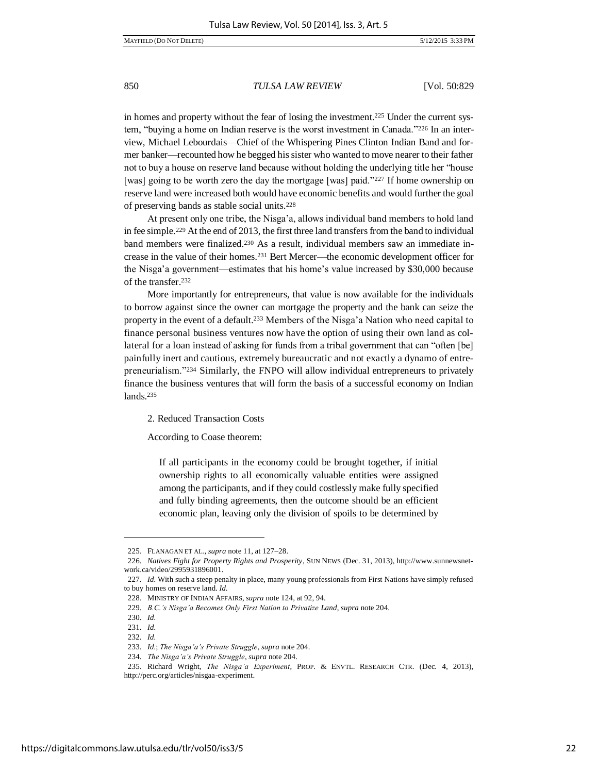in homes and property without the fear of losing the investment.225 Under the current system, "buying a home on Indian reserve is the worst investment in Canada."226 In an interview, Michael Lebourdais—Chief of the Whispering Pines Clinton Indian Band and former banker—recounted how he begged his sister who wanted to move nearer to their father not to buy a house on reserve land because without holding the underlying title her "house [was] going to be worth zero the day the mortgage [was] paid."227 If home ownership on reserve land were increased both would have economic benefits and would further the goal of preserving bands as stable social units.<sup>228</sup>

At present only one tribe, the Nisga'a, allows individual band members to hold land in fee simple.229 At the end of 2013, the first three land transfers from the band to individual band members were finalized.230 As a result, individual members saw an immediate increase in the value of their homes.231 Bert Mercer—the economic development officer for the Nisga'a government—estimates that his home's value increased by \$30,000 because of the transfer.<sup>232</sup>

More importantly for entrepreneurs, that value is now available for the individuals to borrow against since the owner can mortgage the property and the bank can seize the property in the event of a default.<sup>233</sup> Members of the Nisga'a Nation who need capital to finance personal business ventures now have the option of using their own land as collateral for a loan instead of asking for funds from a tribal government that can "often [be] painfully inert and cautious, extremely bureaucratic and not exactly a dynamo of entrepreneurialism."234 Similarly, the FNPO will allow individual entrepreneurs to privately finance the business ventures that will form the basis of a successful economy on Indian lands.<sup>235</sup>

2. Reduced Transaction Costs

According to Coase theorem:

If all participants in the economy could be brought together, if initial ownership rights to all economically valuable entities were assigned among the participants, and if they could costlessly make fully specified and fully binding agreements, then the outcome should be an efficient economic plan, leaving only the division of spoils to be determined by

<sup>225.</sup> FLANAGAN ET AL., *supra* note 11, at 127–28.

<sup>226</sup>*. Natives Fight for Property Rights and Prosperity*, SUN NEWS (Dec. 31, 2013), http://www.sunnewsnetwork.ca/video/2995931896001.

<sup>227</sup>*. Id.* With such a steep penalty in place, many young professionals from First Nations have simply refused to buy homes on reserve land. *Id.*

<sup>228.</sup> MINISTRY OF INDIAN AFFAIRS, *supra* note 124, at 92, 94.

<sup>229</sup>*. B.C.'s Nisga'a Becomes Only First Nation to Privatize Land*, *supra* note 204.

<sup>230</sup>*. Id.*

<sup>231</sup>*. Id.*

<sup>232</sup>*. Id.*

<sup>233</sup>*. Id.*; *The Nisga'a's Private Struggle*, *supra* note 204.

<sup>234</sup>*. The Nisga'a's Private Struggle*, *supra* note 204.

<sup>235.</sup> Richard Wright, *The Nisga'a Experiment*, PROP. & ENVTL. RESEARCH CTR. (Dec. 4, 2013), http://perc.org/articles/nisgaa-experiment.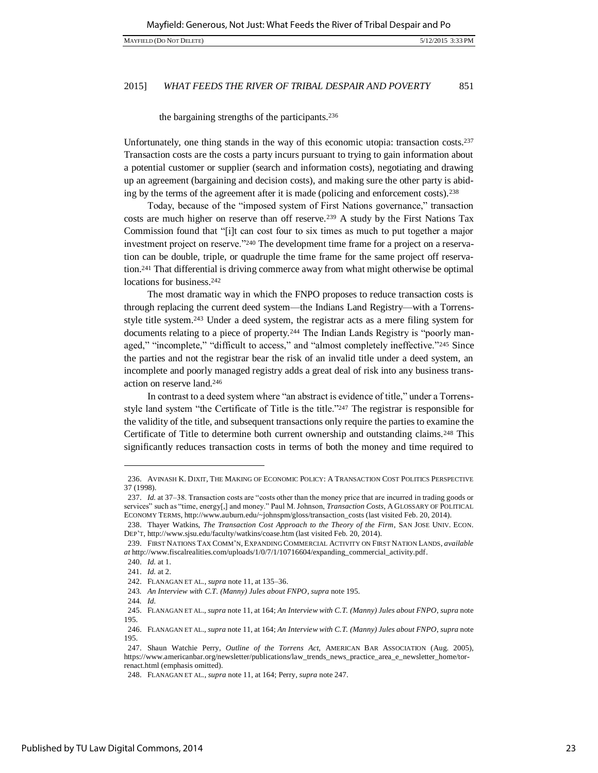the bargaining strengths of the participants.<sup>236</sup>

Unfortunately, one thing stands in the way of this economic utopia: transaction costs.<sup>237</sup> Transaction costs are the costs a party incurs pursuant to trying to gain information about a potential customer or supplier (search and information costs), negotiating and drawing up an agreement (bargaining and decision costs), and making sure the other party is abiding by the terms of the agreement after it is made (policing and enforcement costs).<sup>238</sup>

Today, because of the "imposed system of First Nations governance," transaction costs are much higher on reserve than off reserve.239 A study by the First Nations Tax Commission found that "[i]t can cost four to six times as much to put together a major investment project on reserve."240 The development time frame for a project on a reservation can be double, triple, or quadruple the time frame for the same project off reservation.241 That differential is driving commerce away from what might otherwise be optimal locations for business.<sup>242</sup>

The most dramatic way in which the FNPO proposes to reduce transaction costs is through replacing the current deed system—the Indians Land Registry—with a Torrensstyle title system.243 Under a deed system, the registrar acts as a mere filing system for documents relating to a piece of property.<sup>244</sup> The Indian Lands Registry is "poorly managed," "incomplete," "difficult to access," and "almost completely ineffective."245 Since the parties and not the registrar bear the risk of an invalid title under a deed system, an incomplete and poorly managed registry adds a great deal of risk into any business transaction on reserve land.<sup>246</sup>

In contrast to a deed system where "an abstract is evidence of title," under a Torrensstyle land system "the Certificate of Title is the title."247 The registrar is responsible for the validity of the title, and subsequent transactions only require the parties to examine the Certificate of Title to determine both current ownership and outstanding claims.248 This significantly reduces transaction costs in terms of both the money and time required to

<sup>236.</sup> AVINASH K. DIXIT, THE MAKING OF ECONOMIC POLICY: A TRANSACTION COST POLITICS PERSPECTIVE 37 (1998).

<sup>237.</sup> *Id.* at 37–38. Transaction costs are "costs other than the money price that are incurred in trading goods or services" such as "time, energy[,] and money." Paul M. Johnson, *Transaction Costs*, A GLOSSARY OF POLITICAL ECONOMY TERMS, http://www.auburn.edu/~johnspm/gloss/transaction\_costs (last visited Feb. 20, 2014).

<sup>238.</sup> Thayer Watkins, *The Transaction Cost Approach to the Theory of the Firm*, SAN JOSE UNIV. ECON. DEP'T, http://www.sjsu.edu/faculty/watkins/coase.htm (last visited Feb. 20, 2014).

<sup>239.</sup> FIRST NATIONS TAX COMM'N, EXPANDING COMMERCIAL ACTIVITY ON FIRST NATION LANDS, *available at* http://www.fiscalrealities.com/uploads/1/0/7/1/10716604/expanding\_commercial\_activity.pdf.

<sup>240.</sup> *Id.* at 1.

<sup>241.</sup> *Id.* at 2.

<sup>242.</sup> FLANAGAN ET AL., *supra* note 11, at 135–36.

<sup>243</sup>*. An Interview with C.T. (Manny) Jules about FNPO*, *supra* note 195.

<sup>244</sup>*. Id.*

<sup>245.</sup> FLANAGAN ET AL., *supra* note 11, at 164; *An Interview with C.T. (Manny) Jules about FNPO*, *supra* note 195.

<sup>246.</sup> FLANAGAN ET AL., *supra* note 11, at 164; *An Interview with C.T. (Manny) Jules about FNPO*, *supra* note 195.

<sup>247.</sup> Shaun Watchie Perry, *Outline of the Torrens Act*, AMERICAN BAR ASSOCIATION (Aug. 2005), https://www.americanbar.org/newsletter/publications/law\_trends\_news\_practice\_area\_e\_newsletter\_home/torrenact.html (emphasis omitted).

<sup>248.</sup> FLANAGAN ET AL., *supra* note 11, at 164; Perry, *supra* note 247.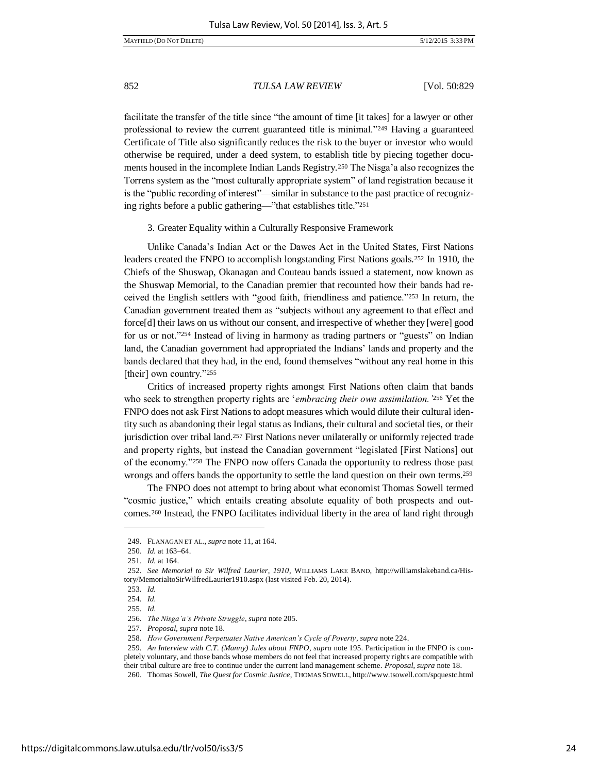facilitate the transfer of the title since "the amount of time [it takes] for a lawyer or other professional to review the current guaranteed title is minimal."249 Having a guaranteed Certificate of Title also significantly reduces the risk to the buyer or investor who would otherwise be required, under a deed system, to establish title by piecing together documents housed in the incomplete Indian Lands Registry.<sup>250</sup> The Nisga'a also recognizes the Torrens system as the "most culturally appropriate system" of land registration because it is the "public recording of interest"—similar in substance to the past practice of recognizing rights before a public gathering—"that establishes title."<sup>251</sup>

3. Greater Equality within a Culturally Responsive Framework

Unlike Canada's Indian Act or the Dawes Act in the United States, First Nations leaders created the FNPO to accomplish longstanding First Nations goals.252 In 1910, the Chiefs of the Shuswap, Okanagan and Couteau bands issued a statement, now known as the Shuswap Memorial, to the Canadian premier that recounted how their bands had received the English settlers with "good faith, friendliness and patience."253 In return, the Canadian government treated them as "subjects without any agreement to that effect and force[d] their laws on us without our consent, and irrespective of whether they [were] good for us or not."<sup>254</sup> Instead of living in harmony as trading partners or "guests" on Indian land, the Canadian government had appropriated the Indians' lands and property and the bands declared that they had, in the end, found themselves "without any real home in this [their] own country."255

Critics of increased property rights amongst First Nations often claim that bands who seek to strengthen property rights are '*embracing their own assimilation.'*<sup>256</sup> Yet the FNPO does not ask First Nations to adopt measures which would dilute their cultural identity such as abandoning their legal status as Indians, their cultural and societal ties, or their jurisdiction over tribal land.257 First Nations never unilaterally or uniformly rejected trade and property rights, but instead the Canadian government "legislated [First Nations] out of the economy."258 The FNPO now offers Canada the opportunity to redress those past wrongs and offers bands the opportunity to settle the land question on their own terms.<sup>259</sup>

The FNPO does not attempt to bring about what economist Thomas Sowell termed "cosmic justice," which entails creating absolute equality of both prospects and outcomes.260 Instead, the FNPO facilitates individual liberty in the area of land right through

<sup>249.</sup> FLANAGAN ET AL., *supra* note 11, at 164.

<sup>250.</sup> *Id.* at 163–64.

<sup>251.</sup> *Id.* at 164.

<sup>252</sup>*. See Memorial to Sir Wilfred Laurier, 1910*, WILLIAMS LAKE BAND, http://williamslakeband.ca/History/MemorialtoSirWilfredLaurier1910.aspx (last visited Feb. 20, 2014).

<sup>253</sup>*. Id.*

<sup>254</sup>*. Id.*

<sup>255</sup>*. Id.*

<sup>256</sup>*. The Nisga'a's Private Struggle*, *supra* note 205.

<sup>257</sup>*. Proposal*, *supra* note 18.

<sup>258</sup>*. How Government Perpetuates Native American's Cycle of Poverty*, *supra* note 224.

<sup>259</sup>*. An Interview with C.T. (Manny) Jules about FNPO*, *supra* note 195. Participation in the FNPO is completely voluntary, and those bands whose members do not feel that increased property rights are compatible with their tribal culture are free to continue under the current land management scheme. *Proposal*, *supra* note 18.

<sup>260.</sup> Thomas Sowell, *The Quest for Cosmic Justice*, THOMAS SOWELL, http://www.tsowell.com/spquestc.html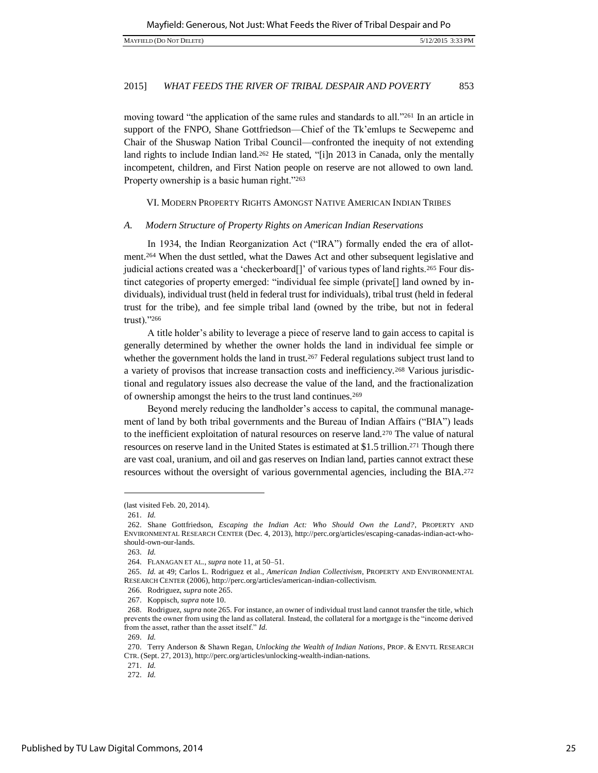moving toward "the application of the same rules and standards to all."<sup>261</sup> In an article in support of the FNPO, Shane Gottfriedson—Chief of the Tk'emlups te Secwepemc and Chair of the Shuswap Nation Tribal Council—confronted the inequity of not extending land rights to include Indian land.<sup>262</sup> He stated, "[i]n 2013 in Canada, only the mentally incompetent, children, and First Nation people on reserve are not allowed to own land. Property ownership is a basic human right."263

VI. MODERN PROPERTY RIGHTS AMONGST NATIVE AMERICAN INDIAN TRIBES

#### *A. Modern Structure of Property Rights on American Indian Reservations*

In 1934, the Indian Reorganization Act ("IRA") formally ended the era of allotment.264 When the dust settled, what the Dawes Act and other subsequent legislative and judicial actions created was a 'checkerboard[]' of various types of land rights.265 Four distinct categories of property emerged: "individual fee simple (private[] land owned by individuals), individual trust (held in federal trust for individuals), tribal trust (held in federal trust for the tribe), and fee simple tribal land (owned by the tribe, but not in federal trust)."<sup>266</sup>

A title holder's ability to leverage a piece of reserve land to gain access to capital is generally determined by whether the owner holds the land in individual fee simple or whether the government holds the land in trust.<sup>267</sup> Federal regulations subject trust land to a variety of provisos that increase transaction costs and inefficiency.268 Various jurisdictional and regulatory issues also decrease the value of the land, and the fractionalization of ownership amongst the heirs to the trust land continues.<sup>269</sup>

Beyond merely reducing the landholder's access to capital, the communal management of land by both tribal governments and the Bureau of Indian Affairs ("BIA") leads to the inefficient exploitation of natural resources on reserve land.270 The value of natural resources on reserve land in the United States is estimated at \$1.5 trillion.271 Though there are vast coal, uranium, and oil and gas reserves on Indian land, parties cannot extract these resources without the oversight of various governmental agencies, including the BIA.<sup>272</sup>

<sup>(</sup>last visited Feb. 20, 2014).

<sup>261.</sup> *Id.*

<sup>262.</sup> Shane Gottfriedson, *Escaping the Indian Act: Who Should Own the Land?*, PROPERTY AND ENVIRONMENTAL RESEARCH CENTER (Dec. 4, 2013), http://perc.org/articles/escaping-canadas-indian-act-whoshould-own-our-lands.

<sup>263.</sup> *Id.*

<sup>264.</sup> FLANAGAN ET AL., *supra* note 11, at 50–51.

<sup>265.</sup> *Id.* at 49; Carlos L. Rodriguez et al., *American Indian Collectivism*, PROPERTY AND ENVIRONMENTAL RESEARCH CENTER (2006), http://perc.org/articles/american-indian-collectivism.

<sup>266.</sup> Rodriguez, *supra* note 265.

<sup>267.</sup> Koppisch, *supra* note 10.

<sup>268.</sup> Rodriguez, *supra* note 265. For instance, an owner of individual trust land cannot transfer the title, which prevents the owner from using the land as collateral. Instead, the collateral for a mortgage is the "income derived from the asset, rather than the asset itself." *Id.*

<sup>269.</sup> *Id.*

<sup>270.</sup> Terry Anderson & Shawn Regan, *Unlocking the Wealth of Indian Nations*, PROP. & ENVTL RESEARCH CTR. (Sept. 27, 2013), http://perc.org/articles/unlocking-wealth-indian-nations.

<sup>271.</sup> *Id.*

<sup>272.</sup> *Id.*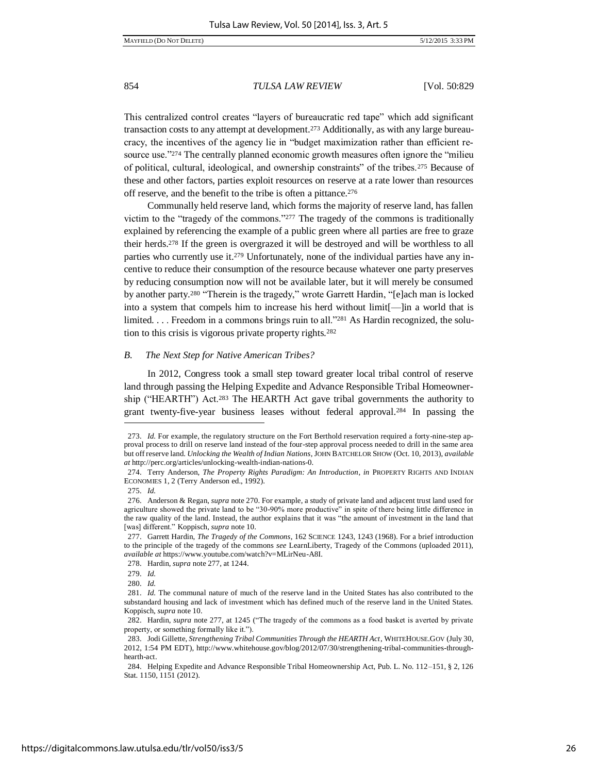This centralized control creates "layers of bureaucratic red tape" which add significant transaction costs to any attempt at development.273 Additionally, as with any large bureaucracy, the incentives of the agency lie in "budget maximization rather than efficient resource use."274 The centrally planned economic growth measures often ignore the "milieu of political, cultural, ideological, and ownership constraints" of the tribes.275 Because of these and other factors, parties exploit resources on reserve at a rate lower than resources off reserve, and the benefit to the tribe is often a pittance.<sup>276</sup>

Communally held reserve land, which forms the majority of reserve land, has fallen victim to the "tragedy of the commons."277 The tragedy of the commons is traditionally explained by referencing the example of a public green where all parties are free to graze their herds.278 If the green is overgrazed it will be destroyed and will be worthless to all parties who currently use it.279 Unfortunately, none of the individual parties have any incentive to reduce their consumption of the resource because whatever one party preserves by reducing consumption now will not be available later, but it will merely be consumed by another party.<sup>280</sup> "Therein is the tragedy," wrote Garrett Hardin, "[e]ach man is locked into a system that compels him to increase his herd without limit[—]in a world that is limited. . . . Freedom in a commons brings ruin to all."281 As Hardin recognized, the solution to this crisis is vigorous private property rights.<sup>282</sup>

#### *B. The Next Step for Native American Tribes?*

In 2012, Congress took a small step toward greater local tribal control of reserve land through passing the Helping Expedite and Advance Responsible Tribal Homeownership ("HEARTH") Act.283 The HEARTH Act gave tribal governments the authority to grant twenty-five-year business leases without federal approval.284 In passing the

<sup>273.</sup> *Id.* For example, the regulatory structure on the Fort Berthold reservation required a forty-nine-step approval process to drill on reserve land instead of the four-step approval process needed to drill in the same area but off reserve land. *Unlocking the Wealth of Indian Nations*, JOHN BATCHELOR SHOW (Oct. 10, 2013), *available at* http://perc.org/articles/unlocking-wealth-indian-nations-0.

<sup>274.</sup> Terry Anderson, *The Property Rights Paradigm: An Introduction*, *in* PROPERTY RIGHTS AND INDIAN ECONOMIES 1, 2 (Terry Anderson ed., 1992).

<sup>275.</sup> *Id.* 

<sup>276.</sup> Anderson & Regan, *supra* note 270. For example, a study of private land and adjacent trust land used for agriculture showed the private land to be "30-90% more productive" in spite of there being little difference in the raw quality of the land. Instead, the author explains that it was "the amount of investment in the land that [was] different." Koppisch, *supra* note 10.

<sup>277.</sup> Garrett Hardin, *The Tragedy of the Commons*, 162 SCIENCE 1243, 1243 (1968). For a brief introduction to the principle of the tragedy of the commons *see* LearnLiberty, Tragedy of the Commons (uploaded 2011), *available at* https://www.youtube.com/watch?v=MLirNeu-A8I.

<sup>278.</sup> Hardin, *supra* note 277, at 1244.

<sup>279.</sup> *Id.*

<sup>280.</sup> *Id.*

<sup>281.</sup> *Id.* The communal nature of much of the reserve land in the United States has also contributed to the substandard housing and lack of investment which has defined much of the reserve land in the United States. Koppisch, *supra* note 10.

<sup>282.</sup> Hardin, *supra* note 277, at 1245 ("The tragedy of the commons as a food basket is averted by private property, or something formally like it.").

<sup>283.</sup> Jodi Gillette, *Strengthening Tribal Communities Through the HEARTH Act*, WHITEHOUSE.GOV (July 30, 2012, 1:54 PM EDT), http://www.whitehouse.gov/blog/2012/07/30/strengthening-tribal-communities-throughhearth-act.

<sup>284.</sup> Helping Expedite and Advance Responsible Tribal Homeownership Act, Pub. L. No. 112–151, § 2, 126 Stat. 1150, 1151 (2012).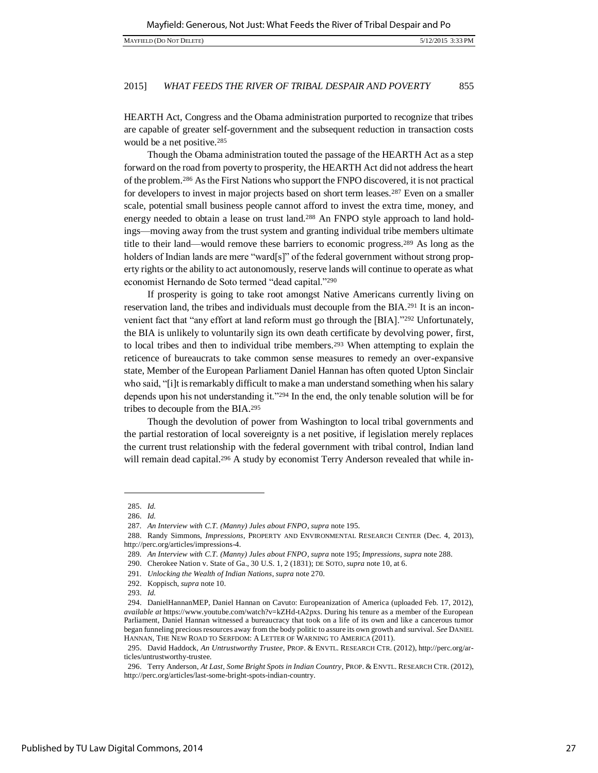HEARTH Act, Congress and the Obama administration purported to recognize that tribes are capable of greater self-government and the subsequent reduction in transaction costs would be a net positive.<sup>285</sup>

Though the Obama administration touted the passage of the HEARTH Act as a step forward on the road from poverty to prosperity, the HEARTH Act did not address the heart of the problem.286 As the First Nations who support the FNPO discovered, it is not practical for developers to invest in major projects based on short term leases.<sup>287</sup> Even on a smaller scale, potential small business people cannot afford to invest the extra time, money, and energy needed to obtain a lease on trust land.<sup>288</sup> An FNPO style approach to land holdings—moving away from the trust system and granting individual tribe members ultimate title to their land—would remove these barriers to economic progress.289 As long as the holders of Indian lands are mere "ward[s]" of the federal government without strong property rights or the ability to act autonomously, reserve lands will continue to operate as what economist Hernando de Soto termed "dead capital."<sup>290</sup>

If prosperity is going to take root amongst Native Americans currently living on reservation land, the tribes and individuals must decouple from the BIA.291 It is an inconvenient fact that "any effort at land reform must go through the [BIA]."292 Unfortunately, the BIA is unlikely to voluntarily sign its own death certificate by devolving power, first, to local tribes and then to individual tribe members.293 When attempting to explain the reticence of bureaucrats to take common sense measures to remedy an over-expansive state, Member of the European Parliament Daniel Hannan has often quoted Upton Sinclair who said, "[i]t is remarkably difficult to make a man understand something when his salary depends upon his not understanding it."294 In the end, the only tenable solution will be for tribes to decouple from the BIA.<sup>295</sup>

Though the devolution of power from Washington to local tribal governments and the partial restoration of local sovereignty is a net positive, if legislation merely replaces the current trust relationship with the federal government with tribal control, Indian land will remain dead capital.<sup>296</sup> A study by economist Terry Anderson revealed that while in-

<sup>285.</sup> *Id.*

<sup>286.</sup> *Id.*

<sup>287</sup>*. An Interview with C.T. (Manny) Jules about FNPO*, *supra* note 195.

<sup>288.</sup> Randy Simmons, *Impressions*, PROPERTY AND ENVIRONMENTAL RESEARCH CENTER (Dec. 4, 2013), http://perc.org/articles/impressions-4.

<sup>289</sup>*. An Interview with C.T. (Manny) Jules about FNPO*, *supra* note 195; *Impressions*, *supra* note 288.

<sup>290.</sup> Cherokee Nation v. State of Ga., 30 U.S. 1, 2 (1831); DE SOTO, *supra* note 10, at 6.

<sup>291</sup>*. Unlocking the Wealth of Indian Nations*, *supra* note 270.

<sup>292.</sup> Koppisch, *supra* note 10.

<sup>293.</sup> *Id.*

<sup>294.</sup> DanielHannanMEP, Daniel Hannan on Cavuto: Europeanization of America (uploaded Feb. 17, 2012), *available at* https://www.youtube.com/watch?v=kZHd-tA2pxs. During his tenure as a member of the European Parliament, Daniel Hannan witnessed a bureaucracy that took on a life of its own and like a cancerous tumor began funneling precious resources away from the body politic to assure its own growth and survival. *See* DANIEL HANNAN, THE NEW ROAD TO SERFDOM: A LETTER OF WARNING TO AMERICA (2011).

<sup>295.</sup> David Haddock, *An Untrustworthy Trustee*, PROP. & ENVTL. RESEARCH CTR. (2012), http://perc.org/articles/untrustworthy-trustee.

<sup>296.</sup> Terry Anderson, *At Last, Some Bright Spots in Indian Country*, PROP. & ENVTL. RESEARCH CTR. (2012), http://perc.org/articles/last-some-bright-spots-indian-country.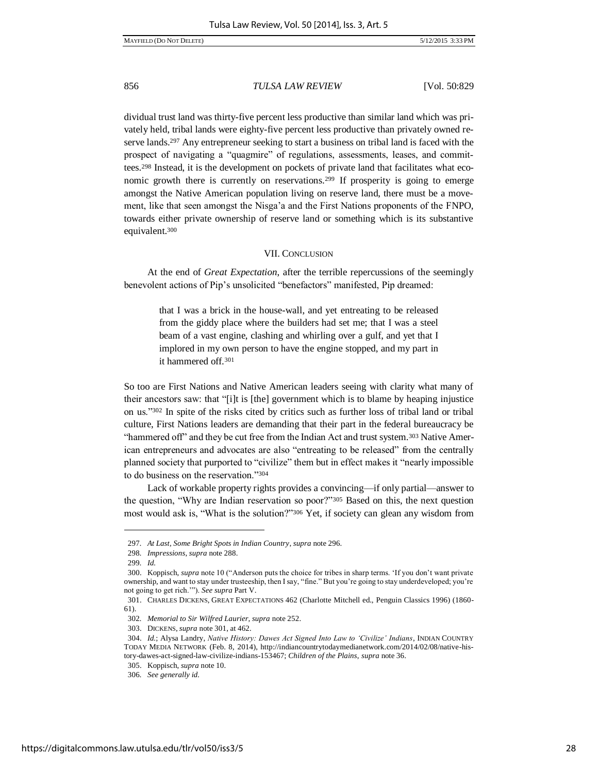dividual trust land was thirty-five percent less productive than similar land which was privately held, tribal lands were eighty-five percent less productive than privately owned reserve lands.<sup>297</sup> Any entrepreneur seeking to start a business on tribal land is faced with the prospect of navigating a "quagmire" of regulations, assessments, leases, and committees.298 Instead, it is the development on pockets of private land that facilitates what economic growth there is currently on reservations.299 If prosperity is going to emerge amongst the Native American population living on reserve land, there must be a movement, like that seen amongst the Nisga'a and the First Nations proponents of the FNPO, towards either private ownership of reserve land or something which is its substantive equivalent.<sup>300</sup>

#### VII. CONCLUSION

At the end of *Great Expectation*, after the terrible repercussions of the seemingly benevolent actions of Pip's unsolicited "benefactors" manifested, Pip dreamed:

> that I was a brick in the house-wall, and yet entreating to be released from the giddy place where the builders had set me; that I was a steel beam of a vast engine, clashing and whirling over a gulf, and yet that I implored in my own person to have the engine stopped, and my part in it hammered off.<sup>301</sup>

So too are First Nations and Native American leaders seeing with clarity what many of their ancestors saw: that "[i]t is [the] government which is to blame by heaping injustice on us."302 In spite of the risks cited by critics such as further loss of tribal land or tribal culture, First Nations leaders are demanding that their part in the federal bureaucracy be "hammered off" and they be cut free from the Indian Act and trust system.<sup>303</sup> Native American entrepreneurs and advocates are also "entreating to be released" from the centrally planned society that purported to "civilize" them but in effect makes it "nearly impossible to do business on the reservation."<sup>304</sup>

Lack of workable property rights provides a convincing—if only partial—answer to the question, "Why are Indian reservation so poor?"305 Based on this, the next question most would ask is, "What is the solution?"306 Yet, if society can glean any wisdom from

<sup>297</sup>*. At Last, Some Bright Spots in Indian Country*, *supra* note 296.

<sup>298</sup>*. Impressions*, *supra* note 288.

<sup>299</sup>*. Id.*

<sup>300.</sup> Koppisch, *supra* note 10 ("Anderson puts the choice for tribes in sharp terms. 'If you don't want private ownership, and want to stay under trusteeship, then I say, "fine." But you're going to stay underdeveloped; you're not going to get rich.'"). *See supra* Part V.

<sup>301.</sup> CHARLES DICKENS, GREAT EXPECTATIONS 462 (Charlotte Mitchell ed., Penguin Classics 1996) (1860- 61).

<sup>302</sup>*. Memorial to Sir Wilfred Laurier, supra* note 252.

<sup>303.</sup> DICKENS, *supra* note 301, at 462.

<sup>304.</sup> *Id.*; Alysa Landry, *Native History: Dawes Act Signed Into Law to 'Civilize' Indians*, INDIAN COUNTRY TODAY MEDIA NETWORK (Feb. 8, 2014), http://indiancountrytodaymedianetwork.com/2014/02/08/native-history-dawes-act-signed-law-civilize-indians-153467; *Children of the Plains*, *supra* note 36.

<sup>305.</sup> Koppisch, *supra* note 10.

<sup>306</sup>*. See generally id.*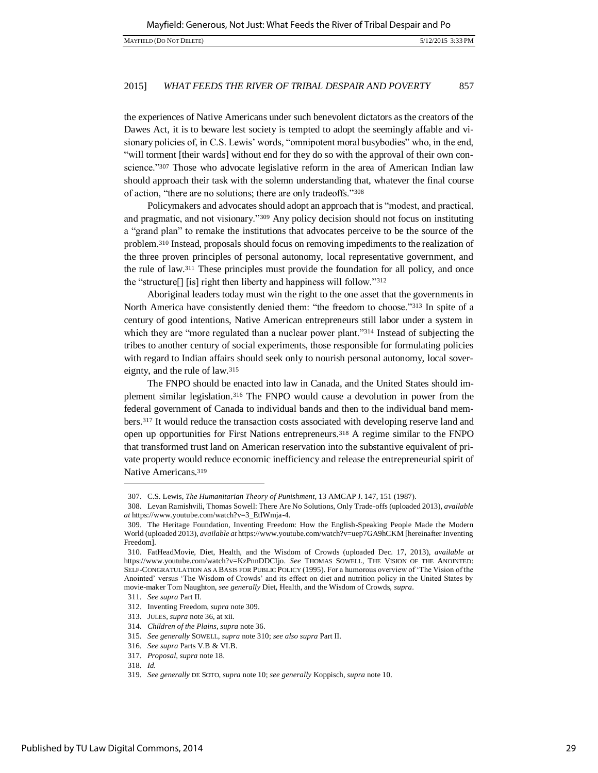the experiences of Native Americans under such benevolent dictators as the creators of the Dawes Act, it is to beware lest society is tempted to adopt the seemingly affable and visionary policies of, in C.S. Lewis' words, "omnipotent moral busybodies" who, in the end, "will torment [their wards] without end for they do so with the approval of their own conscience."<sup>307</sup> Those who advocate legislative reform in the area of American Indian law should approach their task with the solemn understanding that, whatever the final course of action, "there are no solutions; there are only tradeoffs."<sup>308</sup>

Policymakers and advocates should adopt an approach that is "modest, and practical, and pragmatic, and not visionary."<sup>309</sup> Any policy decision should not focus on instituting a "grand plan" to remake the institutions that advocates perceive to be the source of the problem.<sup>310</sup> Instead, proposals should focus on removing impediments to the realization of the three proven principles of personal autonomy, local representative government, and the rule of law.<sup>311</sup> These principles must provide the foundation for all policy, and once the "structure[] [is] right then liberty and happiness will follow."<sup>312</sup>

Aboriginal leaders today must win the right to the one asset that the governments in North America have consistently denied them: "the freedom to choose."313 In spite of a century of good intentions, Native American entrepreneurs still labor under a system in which they are "more regulated than a nuclear power plant."<sup>314</sup> Instead of subjecting the tribes to another century of social experiments, those responsible for formulating policies with regard to Indian affairs should seek only to nourish personal autonomy, local sovereignty, and the rule of law.<sup>315</sup>

The FNPO should be enacted into law in Canada, and the United States should implement similar legislation.316 The FNPO would cause a devolution in power from the federal government of Canada to individual bands and then to the individual band members.317 It would reduce the transaction costs associated with developing reserve land and open up opportunities for First Nations entrepreneurs.318 A regime similar to the FNPO that transformed trust land on American reservation into the substantive equivalent of private property would reduce economic inefficiency and release the entrepreneurial spirit of Native Americans.<sup>319</sup>

317*. Proposal*, *supra* note 18.

<sup>307.</sup> C.S. Lewis, *The Humanitarian Theory of Punishment*, 13 AMCAP J. 147, 151 (1987).

<sup>308.</sup> Levan Ramishvili, Thomas Sowell: There Are No Solutions, Only Trade-offs (uploaded 2013), *available at* https://www.youtube.com/watch?v=3\_EtIWmja-4.

<sup>309.</sup> The Heritage Foundation, Inventing Freedom: How the English-Speaking People Made the Modern World (uploaded 2013), *available at* https://www.youtube.com/watch?v=uep7GA9hCKM [hereinafter Inventing Freedom].

<sup>310.</sup> FatHeadMovie, Diet, Health, and the Wisdom of Crowds (uploaded Dec. 17, 2013), *available at*  https://www.youtube.com/watch?v=KzPnnDDCIjo. *See* THOMAS SOWELL, THE VISION OF THE ANOINTED: SELF-CONGRATULATION AS A BASIS FOR PUBLIC POLICY (1995). For a humorous overview of 'The Vision of the Anointed' versus 'The Wisdom of Crowds' and its effect on diet and nutrition policy in the United States by movie-maker Tom Naughton, *see generally* Diet, Health, and the Wisdom of Crowds, *supra*.

<sup>311</sup>*. See supra* Part II.

<sup>312.</sup> Inventing Freedom, *supra* note 309.

<sup>313.</sup> JULES, *supra* note 36, at xii.

<sup>314.</sup> *Children of the Plains*, *supra* note 36.

<sup>315</sup>*. See generally* SOWELL, *supra* note 310; *see also supra* Part II.

<sup>316</sup>*. See supra* Parts V.B & VI.B.

<sup>318</sup>*. Id.* 

<sup>319</sup>*. See generally* DE SOTO, *supra* note 10; *see generally* Koppisch, *supra* note 10.